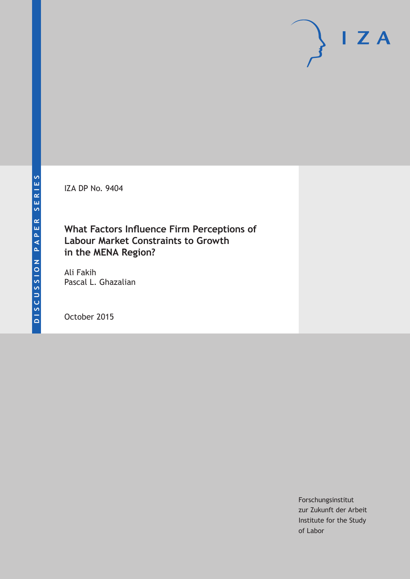IZA DP No. 9404

# **What Factors Influence Firm Perceptions of Labour Market Constraints to Growth in the MENA Region?**

Ali Fakih Pascal L. Ghazalian

October 2015

Forschungsinstitut zur Zukunft der Arbeit Institute for the Study of Labor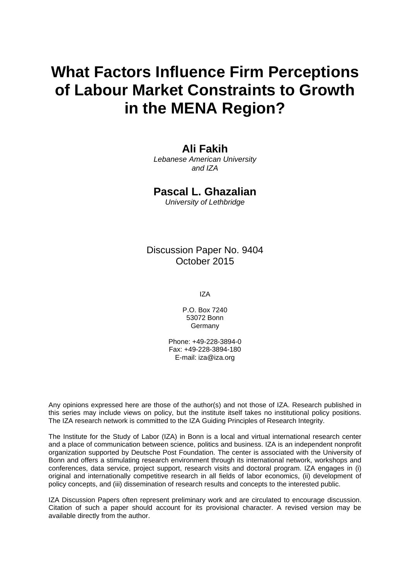# **What Factors Influence Firm Perceptions of Labour Market Constraints to Growth in the MENA Region?**

# **Ali Fakih**

*Lebanese American University and IZA* 

## **Pascal L. Ghazalian**

*University of Lethbridge* 

Discussion Paper No. 9404 October 2015

IZA

P.O. Box 7240 53072 Bonn Germany

Phone: +49-228-3894-0 Fax: +49-228-3894-180 E-mail: iza@iza.org

Any opinions expressed here are those of the author(s) and not those of IZA. Research published in this series may include views on policy, but the institute itself takes no institutional policy positions. The IZA research network is committed to the IZA Guiding Principles of Research Integrity.

The Institute for the Study of Labor (IZA) in Bonn is a local and virtual international research center and a place of communication between science, politics and business. IZA is an independent nonprofit organization supported by Deutsche Post Foundation. The center is associated with the University of Bonn and offers a stimulating research environment through its international network, workshops and conferences, data service, project support, research visits and doctoral program. IZA engages in (i) original and internationally competitive research in all fields of labor economics, (ii) development of policy concepts, and (iii) dissemination of research results and concepts to the interested public.

IZA Discussion Papers often represent preliminary work and are circulated to encourage discussion. Citation of such a paper should account for its provisional character. A revised version may be available directly from the author.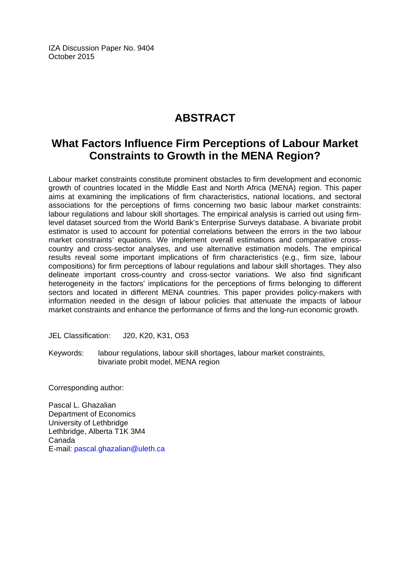IZA Discussion Paper No. 9404 October 2015

# **ABSTRACT**

# **What Factors Influence Firm Perceptions of Labour Market Constraints to Growth in the MENA Region?**

Labour market constraints constitute prominent obstacles to firm development and economic growth of countries located in the Middle East and North Africa (MENA) region. This paper aims at examining the implications of firm characteristics, national locations, and sectoral associations for the perceptions of firms concerning two basic labour market constraints: labour regulations and labour skill shortages. The empirical analysis is carried out using firmlevel dataset sourced from the World Bank's Enterprise Surveys database. A bivariate probit estimator is used to account for potential correlations between the errors in the two labour market constraints' equations. We implement overall estimations and comparative crosscountry and cross-sector analyses, and use alternative estimation models. The empirical results reveal some important implications of firm characteristics (e.g., firm size, labour compositions) for firm perceptions of labour regulations and labour skill shortages. They also delineate important cross-country and cross-sector variations. We also find significant heterogeneity in the factors' implications for the perceptions of firms belonging to different sectors and located in different MENA countries. This paper provides policy-makers with information needed in the design of labour policies that attenuate the impacts of labour market constraints and enhance the performance of firms and the long-run economic growth.

JEL Classification: J20, K20, K31, O53

Keywords: labour regulations, labour skill shortages, labour market constraints, bivariate probit model, MENA region

Corresponding author:

Pascal L. Ghazalian Department of Economics University of Lethbridge Lethbridge, Alberta T1K 3M4 Canada E-mail: pascal.ghazalian@uleth.ca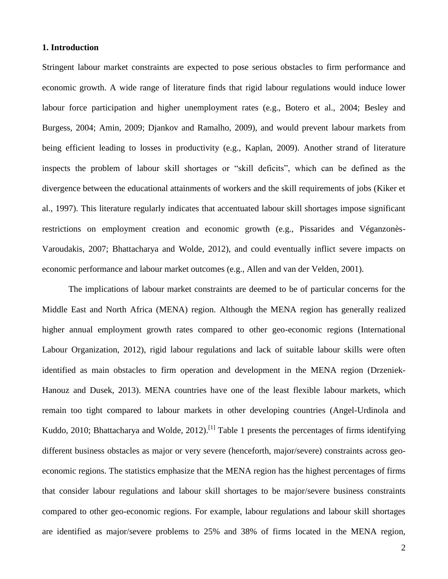#### **1. Introduction**

Stringent labour market constraints are expected to pose serious obstacles to firm performance and economic growth. A wide range of literature finds that rigid labour regulations would induce lower labour force participation and higher unemployment rates (e.g., Botero et al., 2004; Besley and Burgess, 2004; Amin, 2009; Djankov and Ramalho, 2009), and would prevent labour markets from being efficient leading to losses in productivity (e.g., Kaplan, 2009). Another strand of literature inspects the problem of labour skill shortages or "skill deficits", which can be defined as the divergence between the educational attainments of workers and the skill requirements of jobs (Kiker et al., 1997). This literature regularly indicates that accentuated labour skill shortages impose significant restrictions on employment creation and economic growth (e.g., Pissarides and Véganzonès-Varoudakis, 2007; Bhattacharya and Wolde, 2012), and could eventually inflict severe impacts on economic performance and labour market outcomes (e.g., Allen and van der Velden, 2001).

The implications of labour market constraints are deemed to be of particular concerns for the Middle East and North Africa (MENA) region. Although the MENA region has generally realized higher annual employment growth rates compared to other geo-economic regions (International Labour Organization, 2012), rigid labour regulations and lack of suitable labour skills were often identified as main obstacles to firm operation and development in the MENA region (Drzeniek-Hanouz and Dusek, 2013). MENA countries have one of the least flexible labour markets, which remain too tight compared to labour markets in other developing countries (Angel-Urdinola and Kuddo, 2010; Bhattacharya and Wolde, 2012).<sup>[1]</sup> Table 1 presents the percentages of firms identifying different business obstacles as major or very severe (henceforth, major/severe) constraints across geoeconomic regions. The statistics emphasize that the MENA region has the highest percentages of firms that consider labour regulations and labour skill shortages to be major/severe business constraints compared to other geo-economic regions. For example, labour regulations and labour skill shortages are identified as major/severe problems to 25% and 38% of firms located in the MENA region,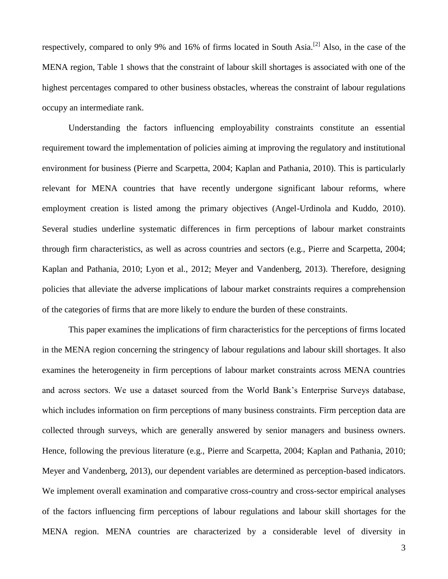respectively, compared to only 9% and 16% of firms located in South Asia.[2] Also, in the case of the MENA region, Table 1 shows that the constraint of labour skill shortages is associated with one of the highest percentages compared to other business obstacles, whereas the constraint of labour regulations occupy an intermediate rank.

Understanding the factors influencing employability constraints constitute an essential requirement toward the implementation of policies aiming at improving the regulatory and institutional environment for business (Pierre and Scarpetta, 2004; Kaplan and Pathania, 2010). This is particularly relevant for MENA countries that have recently undergone significant labour reforms, where employment creation is listed among the primary objectives (Angel-Urdinola and Kuddo, 2010). Several studies underline systematic differences in firm perceptions of labour market constraints through firm characteristics, as well as across countries and sectors (e.g., Pierre and Scarpetta, 2004; Kaplan and Pathania, 2010; Lyon et al., 2012; Meyer and Vandenberg, 2013). Therefore, designing policies that alleviate the adverse implications of labour market constraints requires a comprehension of the categories of firms that are more likely to endure the burden of these constraints.

This paper examines the implications of firm characteristics for the perceptions of firms located in the MENA region concerning the stringency of labour regulations and labour skill shortages. It also examines the heterogeneity in firm perceptions of labour market constraints across MENA countries and across sectors. We use a dataset sourced from the World Bank's Enterprise Surveys database, which includes information on firm perceptions of many business constraints. Firm perception data are collected through surveys, which are generally answered by senior managers and business owners. Hence, following the previous literature (e.g., Pierre and Scarpetta, 2004; Kaplan and Pathania, 2010; Meyer and Vandenberg, 2013), our dependent variables are determined as perception-based indicators. We implement overall examination and comparative cross-country and cross-sector empirical analyses of the factors influencing firm perceptions of labour regulations and labour skill shortages for the MENA region. MENA countries are characterized by a considerable level of diversity in

3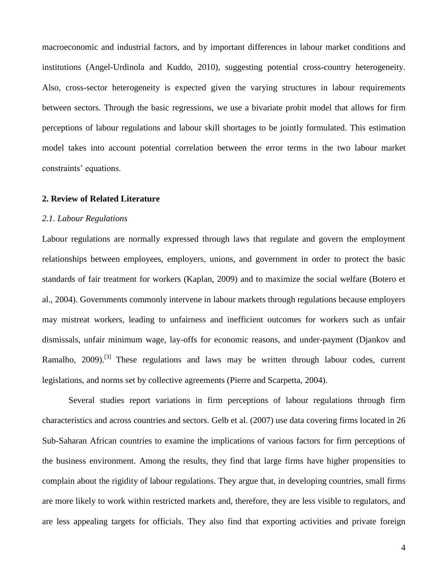macroeconomic and industrial factors, and by important differences in labour market conditions and institutions (Angel-Urdinola and Kuddo, 2010), suggesting potential cross-country heterogeneity. Also, cross-sector heterogeneity is expected given the varying structures in labour requirements between sectors. Through the basic regressions, we use a bivariate probit model that allows for firm perceptions of labour regulations and labour skill shortages to be jointly formulated. This estimation model takes into account potential correlation between the error terms in the two labour market constraints' equations.

#### **2. Review of Related Literature**

#### *2.1. Labour Regulations*

Labour regulations are normally expressed through laws that regulate and govern the employment relationships between employees, employers, unions, and government in order to protect the basic standards of fair treatment for workers (Kaplan, 2009) and to maximize the social welfare (Botero et al., 2004). Governments commonly intervene in labour markets through regulations because employers may mistreat workers, leading to unfairness and inefficient outcomes for workers such as unfair dismissals, unfair minimum wage, lay-offs for economic reasons, and under-payment (Djankov and Ramalho, 2009).<sup>[3]</sup> These regulations and laws may be written through labour codes, current legislations, and norms set by collective agreements (Pierre and Scarpetta, 2004).

Several studies report variations in firm perceptions of labour regulations through firm characteristics and across countries and sectors. Gelb et al. (2007) use data covering firms located in 26 Sub-Saharan African countries to examine the implications of various factors for firm perceptions of the business environment. Among the results, they find that large firms have higher propensities to complain about the rigidity of labour regulations. They argue that, in developing countries, small firms are more likely to work within restricted markets and, therefore, they are less visible to regulators, and are less appealing targets for officials. They also find that exporting activities and private foreign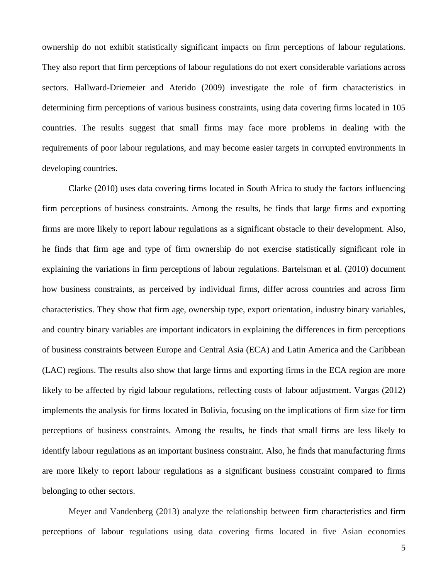ownership do not exhibit statistically significant impacts on firm perceptions of labour regulations. They also report that firm perceptions of labour regulations do not exert considerable variations across sectors. Hallward-Driemeier and Aterido (2009) investigate the role of firm characteristics in determining firm perceptions of various business constraints, using data covering firms located in 105 countries. The results suggest that small firms may face more problems in dealing with the requirements of poor labour regulations, and may become easier targets in corrupted environments in developing countries.

Clarke (2010) uses data covering firms located in South Africa to study the factors influencing firm perceptions of business constraints. Among the results, he finds that large firms and exporting firms are more likely to report labour regulations as a significant obstacle to their development. Also, he finds that firm age and type of firm ownership do not exercise statistically significant role in explaining the variations in firm perceptions of labour regulations. Bartelsman et al. (2010) document how business constraints, as perceived by individual firms, differ across countries and across firm characteristics. They show that firm age, ownership type, export orientation, industry binary variables, and country binary variables are important indicators in explaining the differences in firm perceptions of business constraints between Europe and Central Asia (ECA) and Latin America and the Caribbean (LAC) regions. The results also show that large firms and exporting firms in the ECA region are more likely to be affected by rigid labour regulations, reflecting costs of labour adjustment. Vargas (2012) implements the analysis for firms located in Bolivia, focusing on the implications of firm size for firm perceptions of business constraints. Among the results, he finds that small firms are less likely to identify labour regulations as an important business constraint. Also, he finds that manufacturing firms are more likely to report labour regulations as a significant business constraint compared to firms belonging to other sectors.

Meyer and Vandenberg (2013) analyze the relationship between firm characteristics and firm perceptions of labour regulations using data covering firms located in five Asian economies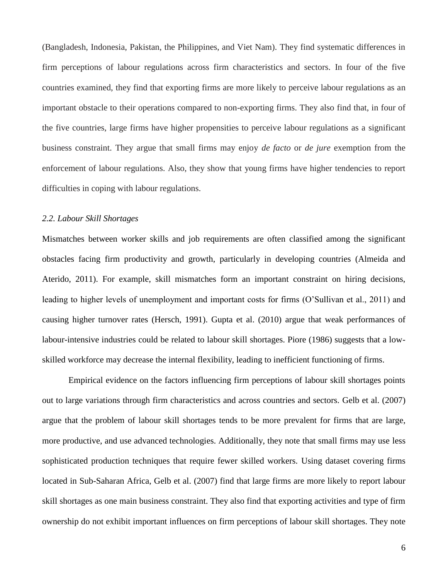(Bangladesh, Indonesia, Pakistan, the Philippines, and Viet Nam). They find systematic differences in firm perceptions of labour regulations across firm characteristics and sectors. In four of the five countries examined, they find that exporting firms are more likely to perceive labour regulations as an important obstacle to their operations compared to non-exporting firms. They also find that, in four of the five countries, large firms have higher propensities to perceive labour regulations as a significant business constraint. They argue that small firms may enjoy *de facto* or *de jure* exemption from the enforcement of labour regulations. Also, they show that young firms have higher tendencies to report difficulties in coping with labour regulations.

#### *2.2. Labour Skill Shortages*

Mismatches between worker skills and job requirements are often classified among the significant obstacles facing firm productivity and growth, particularly in developing countries (Almeida and Aterido, 2011). For example, skill mismatches form an important constraint on hiring decisions, leading to higher levels of unemployment and important costs for firms (O'Sullivan et al., 2011) and causing higher turnover rates (Hersch, 1991). Gupta et al. (2010) argue that weak performances of labour-intensive industries could be related to labour skill shortages. Piore (1986) suggests that a lowskilled workforce may decrease the internal flexibility, leading to inefficient functioning of firms.

Empirical evidence on the factors influencing firm perceptions of labour skill shortages points out to large variations through firm characteristics and across countries and sectors. Gelb et al. (2007) argue that the problem of labour skill shortages tends to be more prevalent for firms that are large, more productive, and use advanced technologies. Additionally, they note that small firms may use less sophisticated production techniques that require fewer skilled workers. Using dataset covering firms located in Sub-Saharan Africa, Gelb et al. (2007) find that large firms are more likely to report labour skill shortages as one main business constraint. They also find that exporting activities and type of firm ownership do not exhibit important influences on firm perceptions of labour skill shortages. They note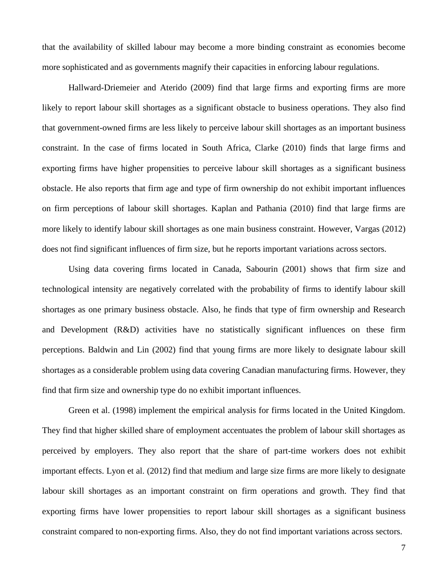that the availability of skilled labour may become a more binding constraint as economies become more sophisticated and as governments magnify their capacities in enforcing labour regulations.

Hallward-Driemeier and Aterido (2009) find that large firms and exporting firms are more likely to report labour skill shortages as a significant obstacle to business operations. They also find that government-owned firms are less likely to perceive labour skill shortages as an important business constraint. In the case of firms located in South Africa, Clarke (2010) finds that large firms and exporting firms have higher propensities to perceive labour skill shortages as a significant business obstacle. He also reports that firm age and type of firm ownership do not exhibit important influences on firm perceptions of labour skill shortages. Kaplan and Pathania (2010) find that large firms are more likely to identify labour skill shortages as one main business constraint. However, Vargas (2012) does not find significant influences of firm size, but he reports important variations across sectors.

Using data covering firms located in Canada, Sabourin (2001) shows that firm size and technological intensity are negatively correlated with the probability of firms to identify labour skill shortages as one primary business obstacle. Also, he finds that type of firm ownership and Research and Development (R&D) activities have no statistically significant influences on these firm perceptions. Baldwin and Lin (2002) find that young firms are more likely to designate labour skill shortages as a considerable problem using data covering Canadian manufacturing firms. However, they find that firm size and ownership type do no exhibit important influences.

Green et al. (1998) implement the empirical analysis for firms located in the United Kingdom. They find that higher skilled share of employment accentuates the problem of labour skill shortages as perceived by employers. They also report that the share of part-time workers does not exhibit important effects. Lyon et al. (2012) find that medium and large size firms are more likely to designate labour skill shortages as an important constraint on firm operations and growth. They find that exporting firms have lower propensities to report labour skill shortages as a significant business constraint compared to non-exporting firms. Also, they do not find important variations across sectors.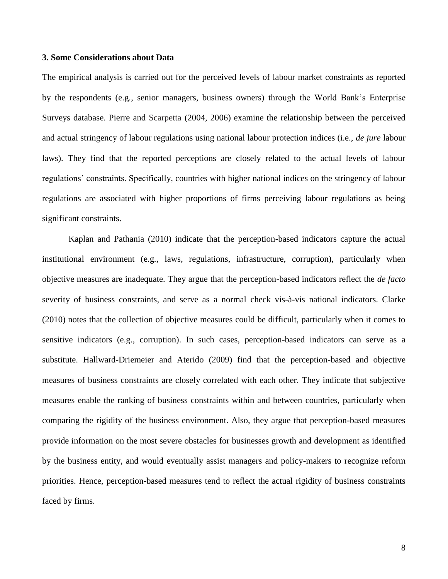#### **3. Some Considerations about Data**

The empirical analysis is carried out for the perceived levels of labour market constraints as reported by the respondents (e.g., senior managers, business owners) through the World Bank's Enterprise Surveys database. Pierre and Scarpetta (2004, 2006) examine the relationship between the perceived and actual stringency of labour regulations using national labour protection indices (i.e., *de jure* labour laws). They find that the reported perceptions are closely related to the actual levels of labour regulations' constraints. Specifically, countries with higher national indices on the stringency of labour regulations are associated with higher proportions of firms perceiving labour regulations as being significant constraints.

Kaplan and Pathania (2010) indicate that the perception-based indicators capture the actual institutional environment (e.g., laws, regulations, infrastructure, corruption), particularly when objective measures are inadequate. They argue that the perception-based indicators reflect the *de facto* severity of business constraints, and serve as a normal check vis-à-vis national indicators. Clarke (2010) notes that the collection of objective measures could be difficult, particularly when it comes to sensitive indicators (e.g., corruption). In such cases, perception-based indicators can serve as a substitute. Hallward-Driemeier and Aterido (2009) find that the perception-based and objective measures of business constraints are closely correlated with each other. They indicate that subjective measures enable the ranking of business constraints within and between countries, particularly when comparing the rigidity of the business environment. Also, they argue that perception-based measures provide information on the most severe obstacles for businesses growth and development as identified by the business entity, and would eventually assist managers and policy-makers to recognize reform priorities. Hence, perception-based measures tend to reflect the actual rigidity of business constraints faced by firms.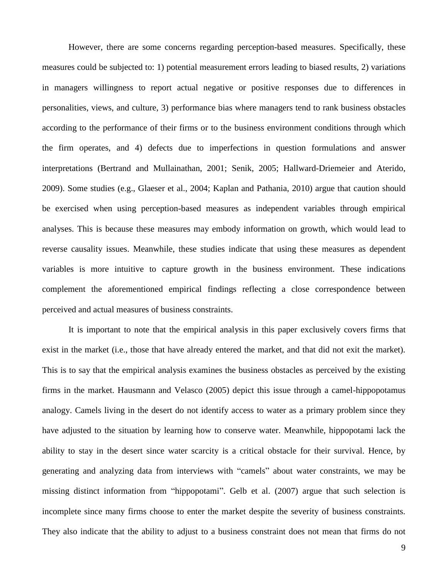However, there are some concerns regarding perception-based measures. Specifically, these measures could be subjected to: 1) potential measurement errors leading to biased results, 2) variations in managers willingness to report actual negative or positive responses due to differences in personalities, views, and culture, 3) performance bias where managers tend to rank business obstacles according to the performance of their firms or to the business environment conditions through which the firm operates, and 4) defects due to imperfections in question formulations and answer interpretations (Bertrand and Mullainathan, 2001; Senik, 2005; Hallward-Driemeier and Aterido, 2009). Some studies (e.g., Glaeser et al., 2004; Kaplan and Pathania, 2010) argue that caution should be exercised when using perception-based measures as independent variables through empirical analyses. This is because these measures may embody information on growth, which would lead to reverse causality issues. Meanwhile, these studies indicate that using these measures as dependent variables is more intuitive to capture growth in the business environment. These indications complement the aforementioned empirical findings reflecting a close correspondence between perceived and actual measures of business constraints.

It is important to note that the empirical analysis in this paper exclusively covers firms that exist in the market (i.e., those that have already entered the market, and that did not exit the market). This is to say that the empirical analysis examines the business obstacles as perceived by the existing firms in the market. Hausmann and Velasco (2005) depict this issue through a camel-hippopotamus analogy. Camels living in the desert do not identify access to water as a primary problem since they have adjusted to the situation by learning how to conserve water. Meanwhile, hippopotami lack the ability to stay in the desert since water scarcity is a critical obstacle for their survival. Hence, by generating and analyzing data from interviews with "camels" about water constraints, we may be missing distinct information from "hippopotami". Gelb et al. (2007) argue that such selection is incomplete since many firms choose to enter the market despite the severity of business constraints. They also indicate that the ability to adjust to a business constraint does not mean that firms do not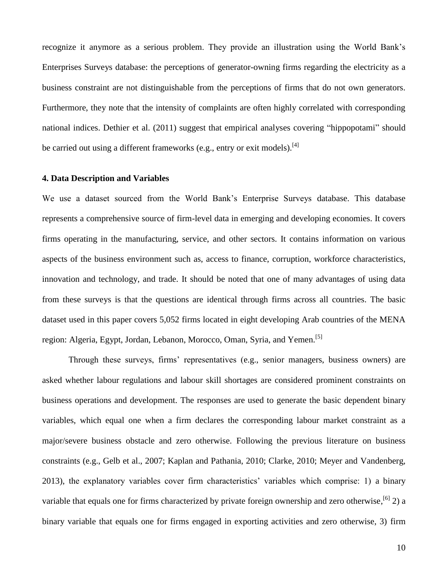recognize it anymore as a serious problem. They provide an illustration using the World Bank's Enterprises Surveys database: the perceptions of generator-owning firms regarding the electricity as a business constraint are not distinguishable from the perceptions of firms that do not own generators. Furthermore, they note that the intensity of complaints are often highly correlated with corresponding national indices. Dethier et al. (2011) suggest that empirical analyses covering "hippopotami" should be carried out using a different frameworks (e.g., entry or exit models).<sup>[4]</sup>

#### **4. Data Description and Variables**

We use a dataset sourced from the World Bank's Enterprise Surveys database. This database represents a comprehensive source of firm-level data in emerging and developing economies. It covers firms operating in the manufacturing, service, and other sectors. It contains information on various aspects of the business environment such as, access to finance, corruption, workforce characteristics, innovation and technology, and trade. It should be noted that one of many advantages of using data from these surveys is that the questions are identical through firms across all countries. The basic dataset used in this paper covers 5,052 firms located in eight developing Arab countries of the MENA region: Algeria, Egypt, Jordan, Lebanon, Morocco, Oman, Syria, and Yemen.<sup>[5]</sup>

Through these surveys, firms' representatives (e.g., senior managers, business owners) are asked whether labour regulations and labour skill shortages are considered prominent constraints on business operations and development. The responses are used to generate the basic dependent binary variables, which equal one when a firm declares the corresponding labour market constraint as a major/severe business obstacle and zero otherwise. Following the previous literature on business constraints (e.g., Gelb et al., 2007; Kaplan and Pathania, 2010; Clarke, 2010; Meyer and Vandenberg, 2013), the explanatory variables cover firm characteristics' variables which comprise: 1) a binary variable that equals one for firms characterized by private foreign ownership and zero otherwise,  $\left[6\right]$  2) a binary variable that equals one for firms engaged in exporting activities and zero otherwise, 3) firm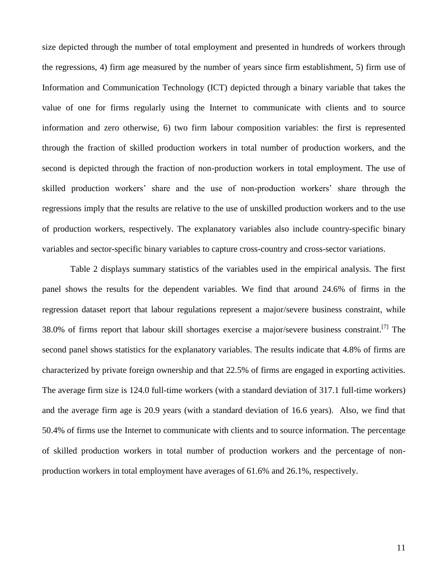size depicted through the number of total employment and presented in hundreds of workers through the regressions, 4) firm age measured by the number of years since firm establishment, 5) firm use of Information and Communication Technology (ICT) depicted through a binary variable that takes the value of one for firms regularly using the Internet to communicate with clients and to source information and zero otherwise, 6) two firm labour composition variables: the first is represented through the fraction of skilled production workers in total number of production workers, and the second is depicted through the fraction of non-production workers in total employment. The use of skilled production workers' share and the use of non-production workers' share through the regressions imply that the results are relative to the use of unskilled production workers and to the use of production workers, respectively. The explanatory variables also include country-specific binary variables and sector-specific binary variables to capture cross-country and cross-sector variations.

Table 2 displays summary statistics of the variables used in the empirical analysis. The first panel shows the results for the dependent variables. We find that around 24.6% of firms in the regression dataset report that labour regulations represent a major/severe business constraint, while 38.0% of firms report that labour skill shortages exercise a major/severe business constraint.<sup>[7]</sup> The second panel shows statistics for the explanatory variables. The results indicate that 4.8% of firms are characterized by private foreign ownership and that 22.5% of firms are engaged in exporting activities. The average firm size is 124.0 full-time workers (with a standard deviation of 317.1 full-time workers) and the average firm age is 20.9 years (with a standard deviation of 16.6 years). Also, we find that 50.4% of firms use the Internet to communicate with clients and to source information. The percentage of skilled production workers in total number of production workers and the percentage of nonproduction workers in total employment have averages of 61.6% and 26.1%, respectively.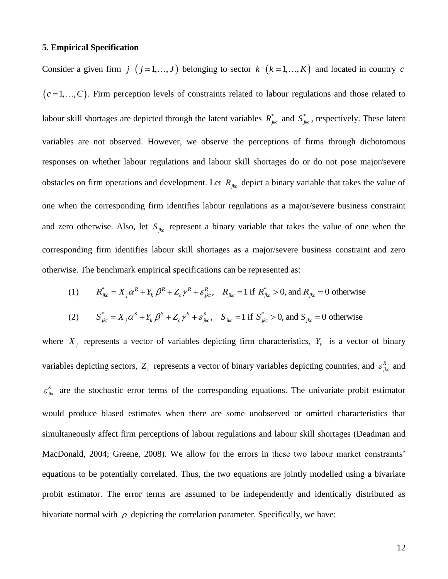#### **5. Empirical Specification**

Consider a given firm  $j$   $(j = 1, ..., J)$  belonging to sector  $k$   $(k = 1, ..., K)$  and located in country c  $(c=1,...,C)$ . Firm perception levels of constraints related to labour regulations and those related to labour skill shortages are depicted through the latent variables  $R_{jkc}^*$  and  $S_{jkc}^*$ , respectively. These latent variables are not observed. However, we observe the perceptions of firms through dichotomous responses on whether labour regulations and labour skill shortages do or do not pose major/severe obstacles on firm operations and development. Let  $R_{jkc}$  depict a binary variable that takes the value of one when the corresponding firm identifies labour regulations as a major/severe business constraint and zero otherwise. Also, let  $S_{jkc}$  represent a binary variable that takes the value of one when the corresponding firm identifies labour skill shortages as a major/severe business constraint and zero otherwise. The benchmark empirical specifications can be represented as: benchmark empirical specifications can be represented as:<br> $R_{jkc}^{*} = X_j \alpha^R + Y_k \beta^R + Z_c \gamma^R + \varepsilon_{jkc}^R$ ,  $R_{jkc} = 1$  if  $R_{jkc}^{*} > 0$ , and  $R_{jkc} = 0$  otherwise

(1) 
$$
R_{jkc}^* = X_j \alpha^R + Y_k \beta^R + Z_c \gamma^R + \varepsilon_{jkc}^R
$$
,  $R_{jkc} = 1$  if  $R_{jkc}^* > 0$ , and  $R_{jkc} = 0$  otherwise  
\n(2)  $S_{jkc}^* = X_j \alpha^S + Y_k \beta^S + Z_c \gamma^S + \varepsilon_{jkc}^S$ ,  $S_{jkc} = 1$  if  $S_{jkc}^* > 0$ , and  $S_{jkc} = 0$  otherwise

(2) 
$$
S_{jkc}^* = X_j \alpha^S + Y_k \beta^S + Z_c \gamma^S + \varepsilon_{jkc}^S, \quad S_{jkc} = 1 \text{ if } S_{jkc}^* > 0, \text{ and } S_{jkc} = 0 \text{ otherwise}
$$

where  $X_j$  represents a vector of variables depicting firm characteristics,  $Y_k$  is a vector of binary variables depicting sectors,  $Z_c$  represents a vector of binary variables depicting countries, and  $\varepsilon_{jkc}^R$  and  $\varepsilon_{jkc}^s$  are the stochastic error terms of the corresponding equations. The univariate probit estimator would produce biased estimates when there are some unobserved or omitted characteristics that simultaneously affect firm perceptions of labour regulations and labour skill shortages (Deadman and MacDonald, 2004; Greene, 2008). We allow for the errors in these two labour market constraints' equations to be potentially correlated. Thus, the two equations are jointly modelled using a bivariate probit estimator. The error terms are assumed to be independently and identically distributed as bivariate normal with  $\rho$  depicting the correlation parameter. Specifically, we have: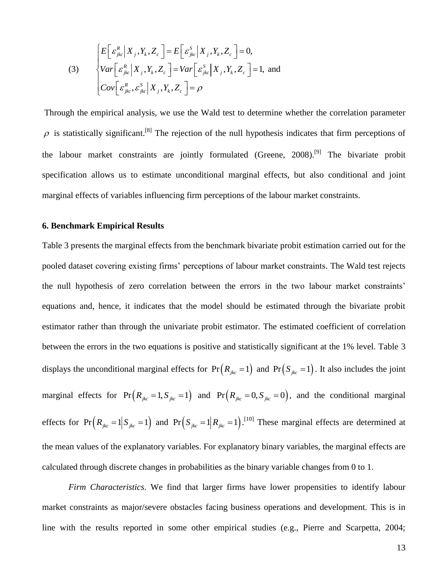(3)  
\n
$$
\begin{cases}\nE\left[\varepsilon_{jkc}^{R}|X_{j},Y_{k},Z_{c}\right] = E\left[\varepsilon_{jkc}^{S}|X_{j},Y_{k},Z_{c}\right] = 0, \\
Var\left[\varepsilon_{jkc}^{R}|X_{j},Y_{k},Z_{c}\right] = Var\left[\varepsilon_{jkc}^{S}|X_{j},Y_{k},Z_{c}\right] = 1, \text{ and} \\
Cov\left[\varepsilon_{jkc}^{R},\varepsilon_{jkc}^{S}|X_{j},Y_{k},Z_{c}\right] = \rho\n\end{cases}
$$

Through the empirical analysis, we use the Wald test to determine whether the correlation parameter  $\rho$  is statistically significant.<sup>[8]</sup> The rejection of the null hypothesis indicates that firm perceptions of the labour market constraints are jointly formulated (Greene, 2008).<sup>[9]</sup> The bivariate probit specification allows us to estimate unconditional marginal effects, but also conditional and joint marginal effects of variables influencing firm perceptions of the labour market constraints.

#### **6. Benchmark Empirical Results**

Table 3 presents the marginal effects from the benchmark bivariate probit estimation carried out for the pooled dataset covering existing firms' perceptions of labour market constraints. The Wald test rejects the null hypothesis of zero correlation between the errors in the two labour market constraints' equations and, hence, it indicates that the model should be estimated through the bivariate probit estimator rather than through the univariate probit estimator. The estimated coefficient of correlation between the errors in the two equations is positive and statistically significant at the 1% level. Table 3 displays the unconditional marginal effects for  $Pr(R_{jkc} = 1)$  and  $Pr(S_{jkc} = 1)$ . It also includes the joint marginal effects for  $Pr(R_{jkc} = 1, S_{jkc} = 1)$  and  $Pr(R_{jkc} = 0, S_{jkc} = 0)$ , and the conditional marginal effects for  $Pr(R_{jkc} = 1 | S_{jkc} = 1)$  and  $Pr(S_{jkc} = 1 | R_{jkc} = 1)$ .<sup>[10]</sup> These marginal effects are determined at the mean values of the explanatory variables. For explanatory binary variables, the marginal effects are calculated through discrete changes in probabilities as the binary variable changes from 0 to 1.

*Firm Characteristics*. We find that larger firms have lower propensities to identify labour market constraints as major/severe obstacles facing business operations and development. This is in line with the results reported in some other empirical studies (e.g., Pierre and Scarpetta, 2004;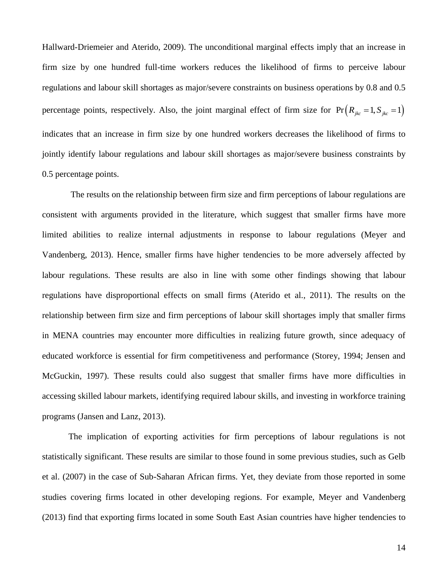Hallward-Driemeier and Aterido, 2009). The unconditional marginal effects imply that an increase in firm size by one hundred full-time workers reduces the likelihood of firms to perceive labour regulations and labour skill shortages as major/severe constraints on business operations by 0.8 and 0.5 percentage points, respectively. Also, the joint marginal effect of firm size for  $Pr(R_{jkc} = 1, S_{jkc} = 1)$ indicates that an increase in firm size by one hundred workers decreases the likelihood of firms to jointly identify labour regulations and labour skill shortages as major/severe business constraints by 0.5 percentage points.

The results on the relationship between firm size and firm perceptions of labour regulations are consistent with arguments provided in the literature, which suggest that smaller firms have more limited abilities to realize internal adjustments in response to labour regulations (Meyer and Vandenberg, 2013). Hence, smaller firms have higher tendencies to be more adversely affected by labour regulations. These results are also in line with some other findings showing that labour regulations have disproportional effects on small firms (Aterido et al., 2011). The results on the relationship between firm size and firm perceptions of labour skill shortages imply that smaller firms in MENA countries may encounter more difficulties in realizing future growth, since adequacy of educated workforce is essential for firm competitiveness and performance (Storey, 1994; Jensen and McGuckin, 1997). These results could also suggest that smaller firms have more difficulties in accessing skilled labour markets, identifying required labour skills, and investing in workforce training programs (Jansen and Lanz, 2013).

The implication of exporting activities for firm perceptions of labour regulations is not statistically significant. These results are similar to those found in some previous studies, such as Gelb et al. (2007) in the case of Sub-Saharan African firms. Yet, they deviate from those reported in some studies covering firms located in other developing regions. For example, Meyer and Vandenberg (2013) find that exporting firms located in some South East Asian countries have higher tendencies to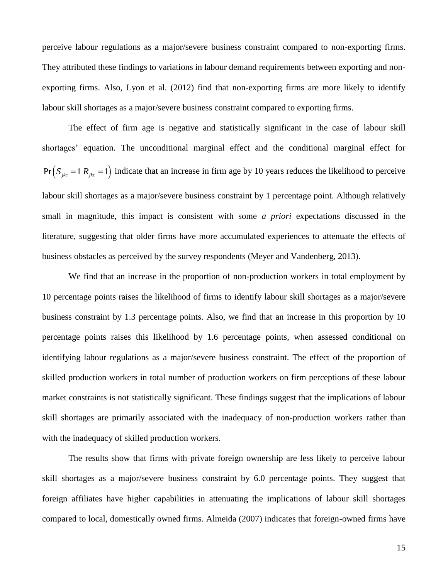perceive labour regulations as a major/severe business constraint compared to non-exporting firms. They attributed these findings to variations in labour demand requirements between exporting and nonexporting firms. Also, Lyon et al. (2012) find that non-exporting firms are more likely to identify labour skill shortages as a major/severe business constraint compared to exporting firms.

The effect of firm age is negative and statistically significant in the case of labour skill shortages' equation. The unconditional marginal effect and the conditional marginal effect for  $Pr(S_{jkc} = 1 | R_{jkc} = 1)$  indicate that an increase in firm age by 10 years reduces the likelihood to perceive labour skill shortages as a major/severe business constraint by 1 percentage point. Although relatively small in magnitude, this impact is consistent with some *a priori* expectations discussed in the literature, suggesting that older firms have more accumulated experiences to attenuate the effects of business obstacles as perceived by the survey respondents (Meyer and Vandenberg, 2013).

We find that an increase in the proportion of non-production workers in total employment by 10 percentage points raises the likelihood of firms to identify labour skill shortages as a major/severe business constraint by 1.3 percentage points. Also, we find that an increase in this proportion by 10 percentage points raises this likelihood by 1.6 percentage points, when assessed conditional on identifying labour regulations as a major/severe business constraint. The effect of the proportion of skilled production workers in total number of production workers on firm perceptions of these labour market constraints is not statistically significant. These findings suggest that the implications of labour skill shortages are primarily associated with the inadequacy of non-production workers rather than with the inadequacy of skilled production workers.

The results show that firms with private foreign ownership are less likely to perceive labour skill shortages as a major/severe business constraint by 6.0 percentage points. They suggest that foreign affiliates have higher capabilities in attenuating the implications of labour skill shortages compared to local, domestically owned firms. Almeida (2007) indicates that foreign-owned firms have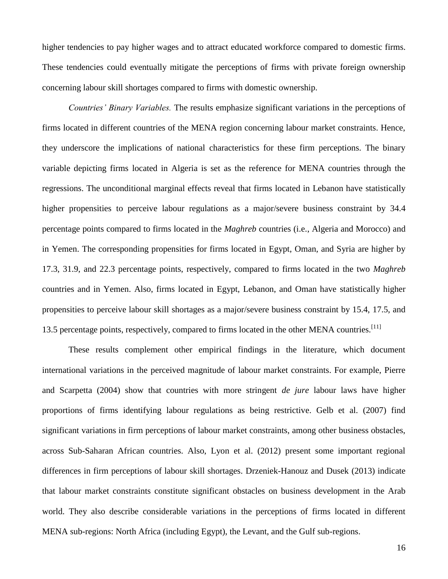higher tendencies to pay higher wages and to attract educated workforce compared to domestic firms. These tendencies could eventually mitigate the perceptions of firms with private foreign ownership concerning labour skill shortages compared to firms with domestic ownership.

*Countries' Binary Variables.* The results emphasize significant variations in the perceptions of firms located in different countries of the MENA region concerning labour market constraints. Hence, they underscore the implications of national characteristics for these firm perceptions. The binary variable depicting firms located in Algeria is set as the reference for MENA countries through the regressions. The unconditional marginal effects reveal that firms located in Lebanon have statistically higher propensities to perceive labour regulations as a major/severe business constraint by 34.4 percentage points compared to firms located in the *Maghreb* countries (i.e., Algeria and Morocco) and in Yemen. The corresponding propensities for firms located in Egypt, Oman, and Syria are higher by 17.3, 31.9, and 22.3 percentage points, respectively, compared to firms located in the two *Maghreb* countries and in Yemen. Also, firms located in Egypt, Lebanon, and Oman have statistically higher propensities to perceive labour skill shortages as a major/severe business constraint by 15.4, 17.5, and 13.5 percentage points, respectively, compared to firms located in the other MENA countries.<sup>[11]</sup>

These results complement other empirical findings in the literature, which document international variations in the perceived magnitude of labour market constraints. For example, Pierre and Scarpetta (2004) show that countries with more stringent *de jure* labour laws have higher proportions of firms identifying labour regulations as being restrictive. Gelb et al. (2007) find significant variations in firm perceptions of labour market constraints, among other business obstacles, across Sub-Saharan African countries. Also, Lyon et al. (2012) present some important regional differences in firm perceptions of labour skill shortages. Drzeniek-Hanouz and Dusek (2013) indicate that labour market constraints constitute significant obstacles on business development in the Arab world. They also describe considerable variations in the perceptions of firms located in different MENA sub-regions: North Africa (including Egypt), the Levant, and the Gulf sub-regions.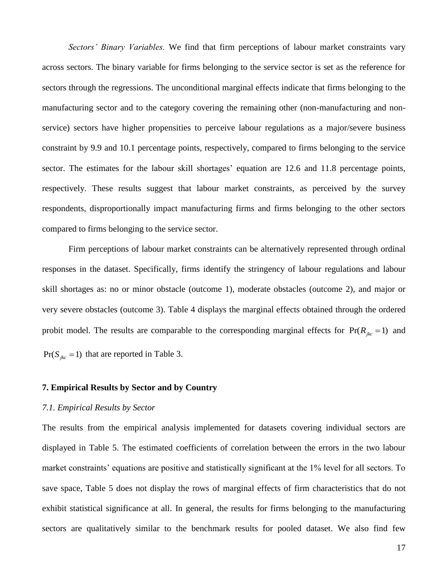*Sectors' Binary Variables.* We find that firm perceptions of labour market constraints vary across sectors. The binary variable for firms belonging to the service sector is set as the reference for sectors through the regressions. The unconditional marginal effects indicate that firms belonging to the manufacturing sector and to the category covering the remaining other (non-manufacturing and nonservice) sectors have higher propensities to perceive labour regulations as a major/severe business constraint by 9.9 and 10.1 percentage points, respectively, compared to firms belonging to the service sector. The estimates for the labour skill shortages' equation are 12.6 and 11.8 percentage points, respectively. These results suggest that labour market constraints, as perceived by the survey respondents, disproportionally impact manufacturing firms and firms belonging to the other sectors compared to firms belonging to the service sector.

Firm perceptions of labour market constraints can be alternatively represented through ordinal responses in the dataset. Specifically, firms identify the stringency of labour regulations and labour skill shortages as: no or minor obstacle (outcome 1), moderate obstacles (outcome 2), and major or very severe obstacles (outcome 3). Table 4 displays the marginal effects obtained through the ordered probit model. The results are comparable to the corresponding marginal effects for  $Pr(R_{jkc} = 1)$  and  $Pr(S_{jkc} = 1)$  that are reported in Table 3.

#### **7. Empirical Results by Sector and by Country**

#### *7.1. Empirical Results by Sector*

The results from the empirical analysis implemented for datasets covering individual sectors are displayed in Table 5. The estimated coefficients of correlation between the errors in the two labour market constraints' equations are positive and statistically significant at the 1% level for all sectors. To save space, Table 5 does not display the rows of marginal effects of firm characteristics that do not exhibit statistical significance at all. In general, the results for firms belonging to the manufacturing sectors are qualitatively similar to the benchmark results for pooled dataset. We also find few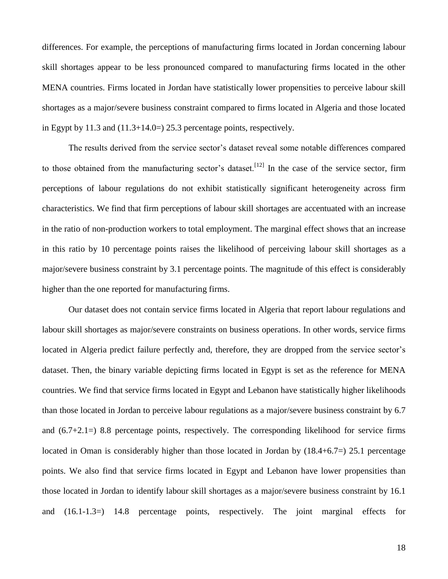differences. For example, the perceptions of manufacturing firms located in Jordan concerning labour skill shortages appear to be less pronounced compared to manufacturing firms located in the other MENA countries. Firms located in Jordan have statistically lower propensities to perceive labour skill shortages as a major/severe business constraint compared to firms located in Algeria and those located in Egypt by 11.3 and (11.3+14.0=) 25.3 percentage points, respectively.

The results derived from the service sector's dataset reveal some notable differences compared to those obtained from the manufacturing sector's dataset.<sup>[12]</sup> In the case of the service sector, firm perceptions of labour regulations do not exhibit statistically significant heterogeneity across firm characteristics. We find that firm perceptions of labour skill shortages are accentuated with an increase in the ratio of non-production workers to total employment. The marginal effect shows that an increase in this ratio by 10 percentage points raises the likelihood of perceiving labour skill shortages as a major/severe business constraint by 3.1 percentage points. The magnitude of this effect is considerably higher than the one reported for manufacturing firms.

Our dataset does not contain service firms located in Algeria that report labour regulations and labour skill shortages as major/severe constraints on business operations. In other words, service firms located in Algeria predict failure perfectly and, therefore, they are dropped from the service sector's dataset. Then, the binary variable depicting firms located in Egypt is set as the reference for MENA countries. We find that service firms located in Egypt and Lebanon have statistically higher likelihoods than those located in Jordan to perceive labour regulations as a major/severe business constraint by 6.7 and (6.7+2.1=) 8.8 percentage points, respectively. The corresponding likelihood for service firms located in Oman is considerably higher than those located in Jordan by (18.4+6.7=) 25.1 percentage points. We also find that service firms located in Egypt and Lebanon have lower propensities than those located in Jordan to identify labour skill shortages as a major/severe business constraint by 16.1 and (16.1-1.3=) 14.8 percentage points, respectively. The joint marginal effects for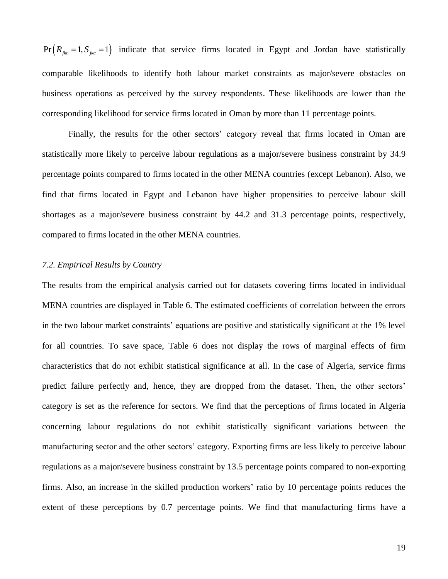$i=1, S_{ikc}=1$  indicate that service firms located in Egypt and Jordan have statistically comparable likelihoods to identify both labour market constraints as major/severe obstacles on business operations as perceived by the survey respondents. These likelihoods are lower than the corresponding likelihood for service firms located in Oman by more than 11 percentage points.

Finally, the results for the other sectors' category reveal that firms located in Oman are statistically more likely to perceive labour regulations as a major/severe business constraint by 34.9 percentage points compared to firms located in the other MENA countries (except Lebanon). Also, we find that firms located in Egypt and Lebanon have higher propensities to perceive labour skill shortages as a major/severe business constraint by 44.2 and 31.3 percentage points, respectively, compared to firms located in the other MENA countries.

### *7.2. Empirical Results by Country*

**En**( $R_{\mu\nu} = 1, S_{\mu\nu} = 1$ ) indicate that service firms located in Egypt and Jordan have statistically<br>compandibe likelihoods to identify both labour market constraints as unijor/severe obstacles on<br>susiness operations The results from the empirical analysis carried out for datasets covering firms located in individual MENA countries are displayed in Table 6. The estimated coefficients of correlation between the errors in the two labour market constraints' equations are positive and statistically significant at the 1% level for all countries. To save space, Table 6 does not display the rows of marginal effects of firm characteristics that do not exhibit statistical significance at all. In the case of Algeria, service firms predict failure perfectly and, hence, they are dropped from the dataset. Then, the other sectors' category is set as the reference for sectors. We find that the perceptions of firms located in Algeria concerning labour regulations do not exhibit statistically significant variations between the manufacturing sector and the other sectors' category. Exporting firms are less likely to perceive labour regulations as a major/severe business constraint by 13.5 percentage points compared to non-exporting firms. Also, an increase in the skilled production workers' ratio by 10 percentage points reduces the extent of these perceptions by 0.7 percentage points. We find that manufacturing firms have a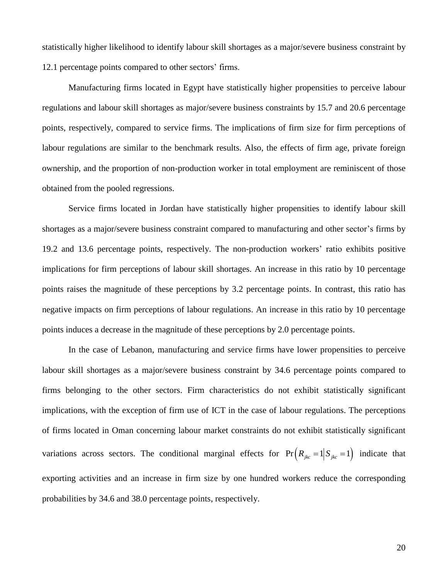statistically higher likelihood to identify labour skill shortages as a major/severe business constraint by 12.1 percentage points compared to other sectors' firms.

Manufacturing firms located in Egypt have statistically higher propensities to perceive labour regulations and labour skill shortages as major/severe business constraints by 15.7 and 20.6 percentage points, respectively, compared to service firms. The implications of firm size for firm perceptions of labour regulations are similar to the benchmark results. Also, the effects of firm age, private foreign ownership, and the proportion of non-production worker in total employment are reminiscent of those obtained from the pooled regressions.

Service firms located in Jordan have statistically higher propensities to identify labour skill shortages as a major/severe business constraint compared to manufacturing and other sector's firms by 19.2 and 13.6 percentage points, respectively. The non-production workers' ratio exhibits positive implications for firm perceptions of labour skill shortages. An increase in this ratio by 10 percentage points raises the magnitude of these perceptions by 3.2 percentage points. In contrast, this ratio has negative impacts on firm perceptions of labour regulations. An increase in this ratio by 10 percentage points induces a decrease in the magnitude of these perceptions by 2.0 percentage points.

In the case of Lebanon, manufacturing and service firms have lower propensities to perceive labour skill shortages as a major/severe business constraint by 34.6 percentage points compared to firms belonging to the other sectors. Firm characteristics do not exhibit statistically significant implications, with the exception of firm use of ICT in the case of labour regulations. The perceptions of firms located in Oman concerning labour market constraints do not exhibit statistically significant variations across sectors. The conditional marginal effects for  $Pr(R_{jkc} = 1 | S_{jkc} = 1)$  indicate that exporting activities and an increase in firm size by one hundred workers reduce the corresponding probabilities by 34.6 and 38.0 percentage points, respectively.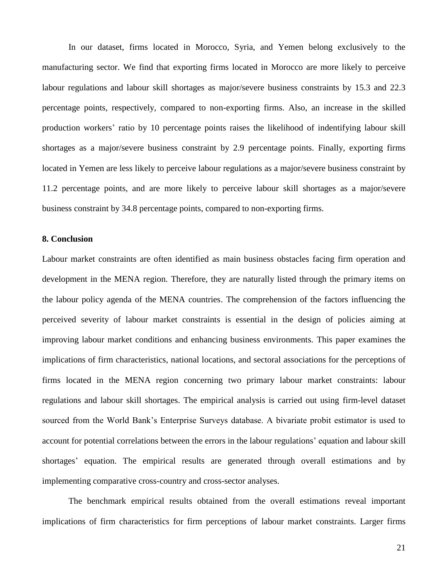In our dataset, firms located in Morocco, Syria, and Yemen belong exclusively to the manufacturing sector. We find that exporting firms located in Morocco are more likely to perceive labour regulations and labour skill shortages as major/severe business constraints by 15.3 and 22.3 percentage points, respectively, compared to non-exporting firms. Also, an increase in the skilled production workers' ratio by 10 percentage points raises the likelihood of indentifying labour skill shortages as a major/severe business constraint by 2.9 percentage points. Finally, exporting firms located in Yemen are less likely to perceive labour regulations as a major/severe business constraint by 11.2 percentage points, and are more likely to perceive labour skill shortages as a major/severe business constraint by 34.8 percentage points, compared to non-exporting firms.

#### **8. Conclusion**

Labour market constraints are often identified as main business obstacles facing firm operation and development in the MENA region. Therefore, they are naturally listed through the primary items on the labour policy agenda of the MENA countries. The comprehension of the factors influencing the perceived severity of labour market constraints is essential in the design of policies aiming at improving labour market conditions and enhancing business environments. This paper examines the implications of firm characteristics, national locations, and sectoral associations for the perceptions of firms located in the MENA region concerning two primary labour market constraints: labour regulations and labour skill shortages. The empirical analysis is carried out using firm-level dataset sourced from the World Bank's Enterprise Surveys database. A bivariate probit estimator is used to account for potential correlations between the errors in the labour regulations' equation and labour skill shortages' equation. The empirical results are generated through overall estimations and by implementing comparative cross-country and cross-sector analyses.

The benchmark empirical results obtained from the overall estimations reveal important implications of firm characteristics for firm perceptions of labour market constraints. Larger firms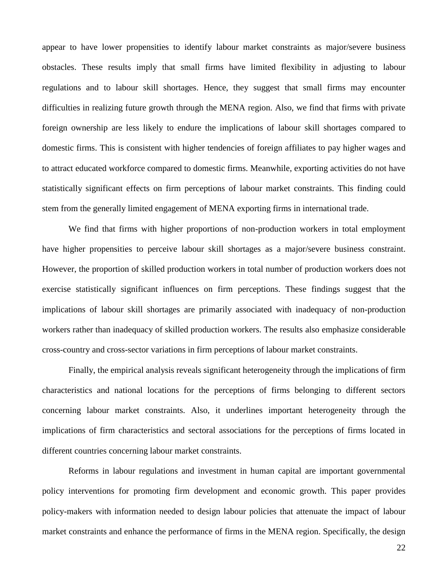appear to have lower propensities to identify labour market constraints as major/severe business obstacles. These results imply that small firms have limited flexibility in adjusting to labour regulations and to labour skill shortages. Hence, they suggest that small firms may encounter difficulties in realizing future growth through the MENA region. Also, we find that firms with private foreign ownership are less likely to endure the implications of labour skill shortages compared to domestic firms. This is consistent with higher tendencies of foreign affiliates to pay higher wages and to attract educated workforce compared to domestic firms. Meanwhile, exporting activities do not have statistically significant effects on firm perceptions of labour market constraints. This finding could stem from the generally limited engagement of MENA exporting firms in international trade.

We find that firms with higher proportions of non-production workers in total employment have higher propensities to perceive labour skill shortages as a major/severe business constraint. However, the proportion of skilled production workers in total number of production workers does not exercise statistically significant influences on firm perceptions. These findings suggest that the implications of labour skill shortages are primarily associated with inadequacy of non-production workers rather than inadequacy of skilled production workers. The results also emphasize considerable cross-country and cross-sector variations in firm perceptions of labour market constraints.

Finally, the empirical analysis reveals significant heterogeneity through the implications of firm characteristics and national locations for the perceptions of firms belonging to different sectors concerning labour market constraints. Also, it underlines important heterogeneity through the implications of firm characteristics and sectoral associations for the perceptions of firms located in different countries concerning labour market constraints.

Reforms in labour regulations and investment in human capital are important governmental policy interventions for promoting firm development and economic growth. This paper provides policy-makers with information needed to design labour policies that attenuate the impact of labour market constraints and enhance the performance of firms in the MENA region. Specifically, the design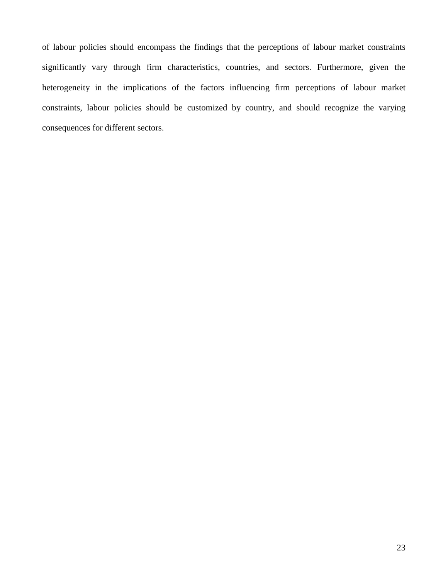of labour policies should encompass the findings that the perceptions of labour market constraints significantly vary through firm characteristics, countries, and sectors. Furthermore, given the heterogeneity in the implications of the factors influencing firm perceptions of labour market constraints, labour policies should be customized by country, and should recognize the varying consequences for different sectors.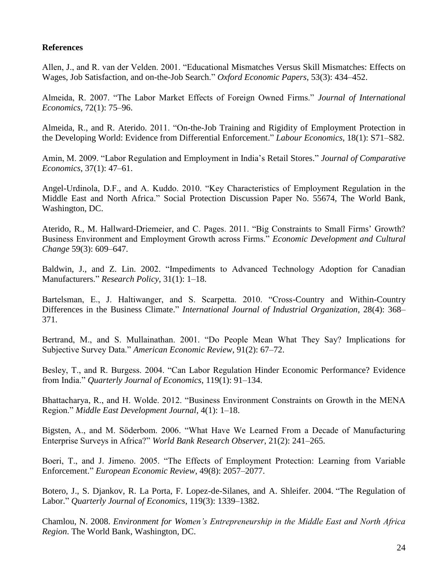## **References**

Allen, J., and R. van der Velden. 2001. "Educational Mismatches Versus Skill Mismatches: Effects on Wages, Job Satisfaction, and on-the-Job Search." *Oxford Economic Papers*, 53(3): 434–452.

Almeida, R. 2007. "The Labor Market Effects of Foreign Owned Firms." *Journal of International Economics*, 72(1): 75–96.

Almeida, R., and R. Aterido. 2011. "On-the-Job Training and Rigidity of Employment Protection in the Developing World: Evidence from Differential Enforcement." *Labour Economics*, 18(1): S71–S82.

Amin, M. 2009. "Labor Regulation and Employment in India's Retail Stores." *Journal of Comparative Economics*, 37(1): 47–61.

Angel-Urdinola, D.F., and A. Kuddo. 2010. "Key Characteristics of Employment Regulation in the Middle East and North Africa." Social Protection Discussion Paper No. 55674, The World Bank, Washington, DC.

Aterido, R., M. Hallward-Driemeier, and C. Pages. 2011. "Big Constraints to Small Firms' Growth? Business Environment and Employment Growth across Firms." *Economic Development and Cultural Change* 59(3): 609–647.

Baldwin, J., and Z. Lin. 2002. "Impediments to Advanced Technology Adoption for Canadian Manufacturers." *Research Policy*, 31(1): 1–18.

Bartelsman, E., J. Haltiwanger, and S. Scarpetta. 2010. "Cross-Country and Within-Country Differences in the Business Climate." *International Journal of Industrial Organization*, 28(4): 368– 371.

Bertrand, M., and S. Mullainathan. 2001. "Do People Mean What They Say? Implications for Subjective Survey Data." *American Economic Review*, 91(2): 67–72.

Besley, T., and R. Burgess. 2004. "Can Labor Regulation Hinder Economic Performance? Evidence from India." *Quarterly Journal of Economics*, 119(1): 91–134.

Bhattacharya, R., and H. Wolde. 2012. "Business Environment Constraints on Growth in the MENA Region." *Middle East Development Journal*, 4(1): 1–18.

Bigsten, A., and M. Söderbom. 2006. "What Have We Learned From a Decade of Manufacturing Enterprise Surveys in Africa?" *World Bank Research Observer*, 21(2): 241–265.

Boeri, T., and J. Jimeno. 2005. "The Effects of Employment Protection: Learning from Variable Enforcement." *European Economic Review*, 49(8): 2057–2077.

Botero, J., S. Djankov, R. La Porta, F. Lopez-de-Silanes, and A. Shleifer. 2004. "The Regulation of Labor." *Quarterly Journal of Economics*, 119(3): 1339–1382.

Chamlou, N. 2008. *Environment for Women's Entrepreneurship in the Middle East and North Africa Region*. The World Bank, Washington, DC.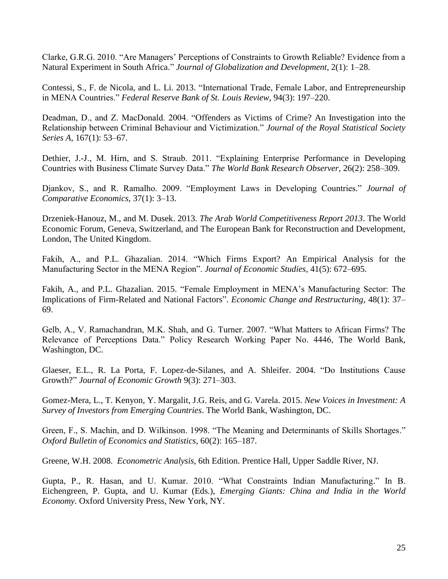Clarke, G.R.G. 2010. "Are Managers' Perceptions of Constraints to Growth Reliable? Evidence from a Natural Experiment in South Africa." *Journal of Globalization and Development*, 2(1): 1–28.

Contessi, S., F. de Nicola, and L. Li. 2013. "International Trade, Female Labor, and Entrepreneurship in MENA Countries." *Federal Reserve Bank of St. Louis Review*, 94(3): 197–220.

Deadman, D., and Z. MacDonald. 2004. "Offenders as Victims of Crime? An Investigation into the Relationship between Criminal Behaviour and Victimization." *Journal of the Royal Statistical Society Series A*, 167(1): 53–67.

Dethier, J.-J., M. Hirn, and S. Straub. 2011. "Explaining Enterprise Performance in Developing Countries with Business Climate Survey Data." *The World Bank Research Observer*, 26(2): 258–309.

Djankov, S., and R. Ramalho. 2009. "Employment Laws in Developing Countries." *Journal of Comparative Economics*, 37(1): 3–13.

Drzeniek-Hanouz, M., and M. Dusek. 2013. *The Arab World Competitiveness Report 2013*. The World Economic Forum, Geneva, Switzerland, and The European Bank for Reconstruction and Development, London, The United Kingdom.

Fakih, A., and P.L. Ghazalian. 2014. "Which Firms Export? An Empirical Analysis for the Manufacturing Sector in the MENA Region". *Journal of Economic Studies*, 41(5): 672–695.

Fakih, A., and P.L. Ghazalian. 2015. "Female Employment in MENA's Manufacturing Sector: The Implications of Firm-Related and National Factors". *Economic Change and Restructuring*, 48(1): 37– 69.

Gelb, A., V. Ramachandran, M.K. Shah, and G. Turner. 2007. "What Matters to African Firms? The Relevance of Perceptions Data." Policy Research Working Paper No. 4446, The World Bank, Washington, DC.

Glaeser, E.L., R. La Porta, F. Lopez-de-Silanes, and A. Shleifer. 2004. "Do Institutions Cause Growth?" *Journal of Economic Growth* 9(3): 271–303.

Gomez-Mera, L., T. Kenyon, Y. Margalit, J.G. Reis, and G. Varela. 2015. *New Voices in Investment: A Survey of Investors from Emerging Countries*. The World Bank, Washington, DC.

Green, F., S. Machin, and D. Wilkinson. 1998. "The Meaning and Determinants of Skills Shortages." *Oxford Bulletin of Economics and Statistics*, 60(2): 165–187.

Greene, W.H. 2008. *Econometric Analysis,* 6th Edition. Prentice Hall, Upper Saddle River, NJ.

Gupta, P., R. Hasan, and U. Kumar. 2010. "What Constraints Indian Manufacturing." In B. Eichengreen, P. Gupta, and U. Kumar (Eds.), *Emerging Giants: China and India in the World Economy*. Oxford University Press, New York, NY.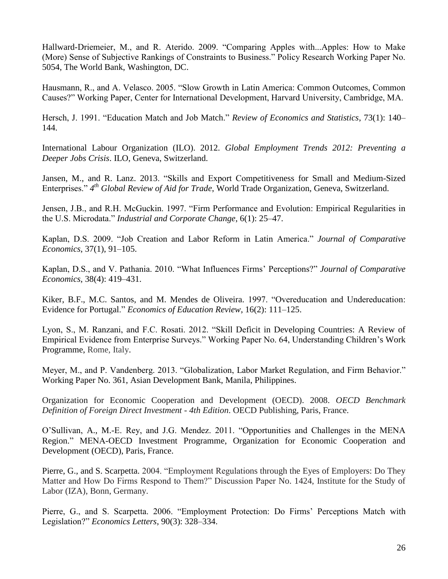Hallward-Driemeier, M., and R. Aterido. 2009. "Comparing Apples with...Apples: How to Make (More) Sense of Subjective Rankings of Constraints to Business." Policy Research Working Paper No. 5054, The World Bank, Washington, DC.

Hausmann, R., and A. Velasco. 2005. "Slow Growth in Latin America: Common Outcomes, Common Causes?" Working Paper, Center for International Development, Harvard University, Cambridge, MA.

Hersch, J. 1991. "Education Match and Job Match." *Review of Economics and Statistics*, 73(1): 140– 144.

International Labour Organization (ILO). 2012. *Global Employment Trends 2012: Preventing a Deeper Jobs Crisis*. ILO, Geneva, Switzerland.

Jansen, M., and R. Lanz. 2013. "Skills and Export Competitiveness for Small and Medium-Sized Enterprises." *4 th Global Review of Aid for Trade*, World Trade Organization, Geneva, Switzerland.

Jensen, J.B., and R.H. McGuckin. 1997. "Firm Performance and Evolution: Empirical Regularities in the U.S. Microdata." *Industrial and Corporate Change*, 6(1): 25–47.

Kaplan, D.S. 2009. "Job Creation and Labor Reform in Latin America." *Journal of Comparative Economics*, 37(1), 91–105.

Kaplan, D.S., and V. Pathania. 2010. "What Influences Firms' Perceptions?" *Journal of Comparative Economics*, 38(4): 419–431.

Kiker, B.F., M.C. Santos, and M. Mendes de Oliveira. 1997. "Overeducation and Undereducation: Evidence for Portugal." *Economics of Education Review*, 16(2): 111–125.

Lyon, S., M. Ranzani, and F.C. Rosati. 2012. "Skill Deficit in Developing Countries: A Review of Empirical Evidence from Enterprise Surveys." Working Paper No. 64, Understanding Children's Work Programme, Rome, Italy.

Meyer, M., and P. Vandenberg. 2013. "Globalization, Labor Market Regulation, and Firm Behavior." Working Paper No. 361, Asian Development Bank, Manila, Philippines.

Organization for Economic Cooperation and Development (OECD). 2008. *OECD Benchmark Definition of Foreign Direct Investment - 4th Edition*. OECD Publishing, Paris, France.

O'Sullivan, A., M.-E. Rey, and J.G. Mendez. 2011. "Opportunities and Challenges in the MENA Region." MENA-OECD Investment Programme, Organization for Economic Cooperation and Development (OECD), Paris, France.

Pierre, G., and S. Scarpetta. 2004. "Employment Regulations through the Eyes of Employers: Do They Matter and How Do Firms Respond to Them?" Discussion Paper No. 1424, Institute for the Study of Labor (IZA), Bonn, Germany.

Pierre, G., and S. Scarpetta. 2006. "Employment Protection: Do Firms' Perceptions Match with Legislation?" *Economics Letters*, 90(3): 328–334.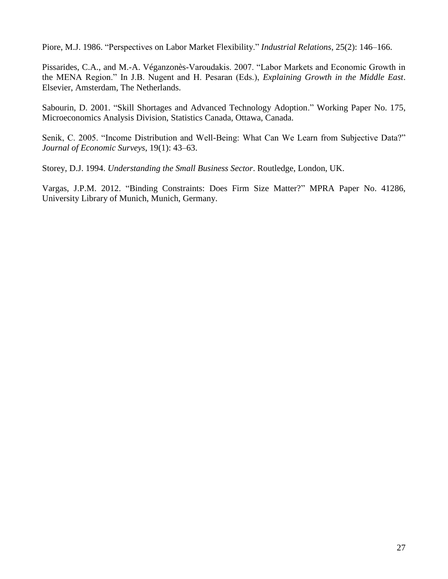Piore, M.J. 1986. "Perspectives on Labor Market Flexibility." *Industrial Relations*, 25(2): 146–166.

Pissarides, C.A., and M.-A. Véganzonès-Varoudakis. 2007. "Labor Markets and Economic Growth in the MENA Region." In J.B. Nugent and H. Pesaran (Eds.), *Explaining Growth in the Middle East*. Elsevier, Amsterdam, The Netherlands.

Sabourin, D. 2001. "Skill Shortages and Advanced Technology Adoption." Working Paper No. 175, Microeconomics Analysis Division, Statistics Canada, Ottawa, Canada.

Senik, C. 2005. "Income Distribution and Well-Being: What Can We Learn from Subjective Data?" *Journal of Economic Surveys*, 19(1): 43–63.

Storey, D.J. 1994. *Understanding the Small Business Sector*. Routledge, London, UK.

Vargas, J.P.M. 2012. "Binding Constraints: Does Firm Size Matter?" MPRA Paper No. 41286, University Library of Munich, Munich, Germany.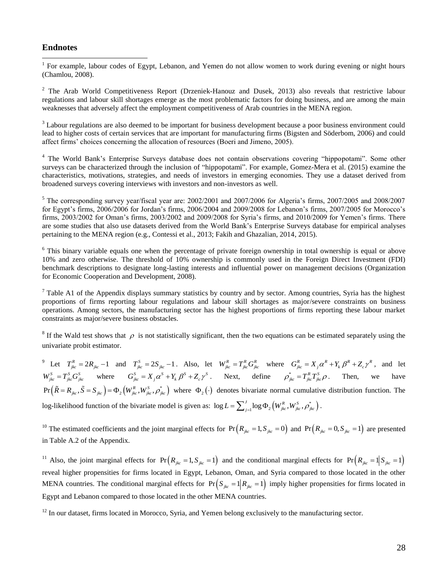#### **Endnotes**

<sup>1</sup> For example, labour codes of Egypt, Lebanon, and Yemen do not allow women to work during evening or night hours (Chamlou, 2008).

<sup>2</sup> The Arab World Competitiveness Report (Drzeniek-Hanouz and Dusek, 2013) also reveals that restrictive labour regulations and labour skill shortages emerge as the most problematic factors for doing business, and are among the main weaknesses that adversely affect the employment competitiveness of Arab countries in the MENA region.

<sup>3</sup> Labour regulations are also deemed to be important for business development because a poor business environment could lead to higher costs of certain services that are important for manufacturing firms (Bigsten and Söderbom, 2006) and could affect firms' choices concerning the allocation of resources (Boeri and Jimeno, 2005).

<sup>4</sup> The World Bank's Enterprise Surveys database does not contain observations covering "hippopotami". Some other surveys can be characterized through the inclusion of "hippopotami". For example, Gomez-Mera et al. (2015) examine the characteristics, motivations, strategies, and needs of investors in emerging economies. They use a dataset derived from broadened surveys covering interviews with investors and non-investors as well.

 $5$  The corresponding survey year/fiscal year are: 2002/2001 and 2007/2006 for Algeria's firms, 2007/2005 and 2008/2007 for Egypt's firms, 2006/2006 for Jordan's firms, 2006/2004 and 2009/2008 for Lebanon's firms, 2007/2005 for Morocco's firms, 2003/2002 for Oman's firms, 2003/2002 and 2009/2008 for Syria's firms, and 2010/2009 for Yemen's firms. There are some studies that also use datasets derived from the World Bank's Enterprise Surveys database for empirical analyses pertaining to the MENA region (e.g., Contessi et al., 2013; Fakih and Ghazalian, 2014, 2015).

<sup>6</sup> This binary variable equals one when the percentage of private foreign ownership in total ownership is equal or above 10% and zero otherwise. The threshold of 10% ownership is commonly used in the Foreign Direct Investment (FDI) benchmark descriptions to designate long-lasting interests and influential power on management decisions (Organization for Economic Cooperation and Development, 2008).

<sup>7</sup> Table A1 of the Appendix displays summary statistics by country and by sector. Among countries, Syria has the highest proportions of firms reporting labour regulations and labour skill shortages as major/severe constraints on business operations. Among sectors, the manufacturing sector has the highest proportions of firms reporting these labour market constraints as major/severe business obstacles.

<sup>8</sup> If the Wald test shows that  $\rho$  is not statistically significant, then the two equations can be estimated separately using the univariate probit estimator.

<sup>9</sup> Let  $T_{jkc}^R = 2R_{jkc} - 1$  and  $T_{jkc}^S = 2S_{jkc} - 1$ . Also, let  $W_{jkc}^R = T_{jkc}^R G_{jkc}^R$  where  $G_{jkc}^R = X_j \alpha^R + Y_k \beta^R + Z_c \gamma^R$ , and let  $W_{jkc}^S = T_{jkc}^S G_{jkc}^S$  where  $G_{jkc}^S = X_j \alpha^S + Y_k \beta^S + Z_c \gamma^S$ . Next, define  $\rho_{jkc}^* = T_{jkc}^R T_{jkc}^S \rho$ . Then, we have  $\left(\tilde{R} = R_{\phantom{i}jkc}, \tilde{S} = S_{\phantom{i}jkc}\right) = \Phi_2\left(W_{\phantom{i}jkc}^R, W_{\phantom{j}jkc}^S, \rho_{\phantom{j}jkc}^*\right)$  $Pr(\tilde{R} = R_{jkc}, \tilde{S} = S_{jkc}) = \Phi_2 \left( W_{jkc}^R, W_{jkc}^S, \rho_{jkc}^* \right)$  where  $\Phi_2(\cdot)$  denotes bivariate normal cumulative distribution function. The log-likelihood function of the bivariate model is given as:  $\log L = \sum_{j=1}^{J} \log \Phi_2 \left( W_{jkc}^R, W_{jkc}^S, \rho_{jkc}^* \right)$ .

<sup>10</sup> The estimated coefficients and the joint marginal effects for  $Pr(R_{jkc} = 1, S_{jkc} = 0)$  and  $Pr(R_{jkc} = 0, S_{jkc} = 1)$  are presented in Table A.2 of the Appendix.

<sup>11</sup> Also, the joint marginal effects for  $Pr(R_{jkc} = 1, S_{jkc} = 1)$  and the conditional marginal effects for  $Pr(R_{jkc} = 1|S_{jkc} = 1)$ reveal higher propensities for firms located in Egypt, Lebanon, Oman, and Syria compared to those located in the other MENA countries. The conditional marginal effects for  $Pr(S_{jkc} = 1 | R_{jkc} = 1)$  imply higher propensities for firms located in Egypt and Lebanon compared to those located in the other MENA countries.

 $12$  In our dataset, firms located in Morocco, Syria, and Yemen belong exclusively to the manufacturing sector.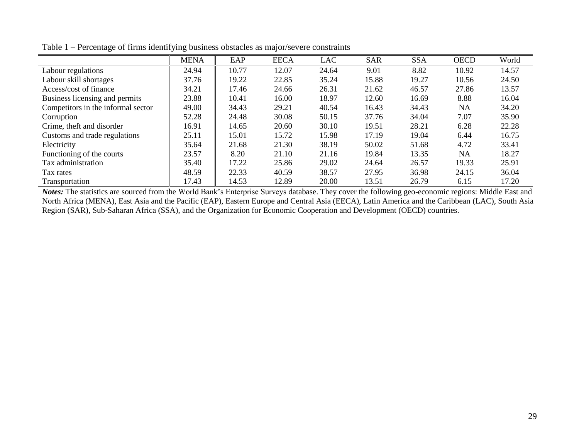|                                    | <b>MENA</b> | EAP   | <b>EECA</b> | <b>LAC</b> | <b>SAR</b> | <b>SSA</b> | <b>OECD</b> | World |
|------------------------------------|-------------|-------|-------------|------------|------------|------------|-------------|-------|
| Labour regulations                 | 24.94       | 10.77 | 12.07       | 24.64      | 9.01       | 8.82       | 10.92       | 14.57 |
| Labour skill shortages             | 37.76       | 19.22 | 22.85       | 35.24      | 15.88      | 19.27      | 10.56       | 24.50 |
| Access/cost of finance             | 34.21       | 17.46 | 24.66       | 26.31      | 21.62      | 46.57      | 27.86       | 13.57 |
| Business licensing and permits     | 23.88       | 10.41 | 16.00       | 18.97      | 12.60      | 16.69      | 8.88        | 16.04 |
| Competitors in the informal sector | 49.00       | 34.43 | 29.21       | 40.54      | 16.43      | 34.43      | <b>NA</b>   | 34.20 |
| Corruption                         | 52.28       | 24.48 | 30.08       | 50.15      | 37.76      | 34.04      | 7.07        | 35.90 |
| Crime, theft and disorder          | 16.91       | 14.65 | 20.60       | 30.10      | 19.51      | 28.21      | 6.28        | 22.28 |
| Customs and trade regulations      | 25.11       | 15.01 | 15.72       | 15.98      | 17.19      | 19.04      | 6.44        | 16.75 |
| Electricity                        | 35.64       | 21.68 | 21.30       | 38.19      | 50.02      | 51.68      | 4.72        | 33.41 |
| Functioning of the courts          | 23.57       | 8.20  | 21.10       | 21.16      | 19.84      | 13.35      | <b>NA</b>   | 18.27 |
| Tax administration                 | 35.40       | 17.22 | 25.86       | 29.02      | 24.64      | 26.57      | 19.33       | 25.91 |
| Tax rates                          | 48.59       | 22.33 | 40.59       | 38.57      | 27.95      | 36.98      | 24.15       | 36.04 |
| Transportation                     | 17.43       | 14.53 | 12.89       | 20.00      | 13.51      | 26.79      | 6.15        | 17.20 |

Table 1 – Percentage of firms identifying business obstacles as major/severe constraints

*Notes:* The statistics are sourced from the World Bank's Enterprise Surveys database. They cover the following geo-economic regions: Middle East and North Africa (MENA), East Asia and the Pacific (EAP), Eastern Europe and Central Asia (EECA), Latin America and the Caribbean (LAC), South Asia Region (SAR), Sub-Saharan Africa (SSA), and the Organization for Economic Cooperation and Development (OECD) countries.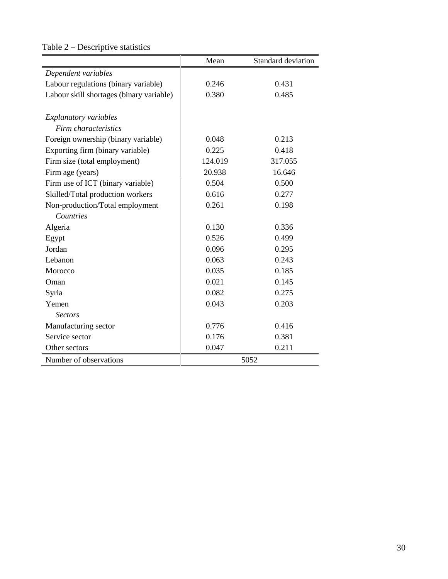|                                          | Mean    | Standard deviation |
|------------------------------------------|---------|--------------------|
| Dependent variables                      |         |                    |
| Labour regulations (binary variable)     | 0.246   | 0.431              |
| Labour skill shortages (binary variable) | 0.380   | 0.485              |
| <b>Explanatory variables</b>             |         |                    |
| Firm characteristics                     |         |                    |
| Foreign ownership (binary variable)      | 0.048   | 0.213              |
| Exporting firm (binary variable)         | 0.225   | 0.418              |
| Firm size (total employment)             | 124.019 | 317.055            |
| Firm age (years)                         | 20.938  | 16.646             |
| Firm use of ICT (binary variable)        | 0.504   | 0.500              |
| Skilled/Total production workers         | 0.616   | 0.277              |
| Non-production/Total employment          | 0.261   | 0.198              |
| Countries                                |         |                    |
| Algeria                                  | 0.130   | 0.336              |
| Egypt                                    | 0.526   | 0.499              |
| Jordan                                   | 0.096   | 0.295              |
| Lebanon                                  | 0.063   | 0.243              |
| Morocco                                  | 0.035   | 0.185              |
| Oman                                     | 0.021   | 0.145              |
| Syria                                    | 0.082   | 0.275              |
| Yemen                                    | 0.043   | 0.203              |
| <b>Sectors</b>                           |         |                    |
| Manufacturing sector                     | 0.776   | 0.416              |
| Service sector                           | 0.176   | 0.381              |
| Other sectors                            | 0.047   | 0.211              |
| Number of observations                   |         | 5052               |

# Table 2 – Descriptive statistics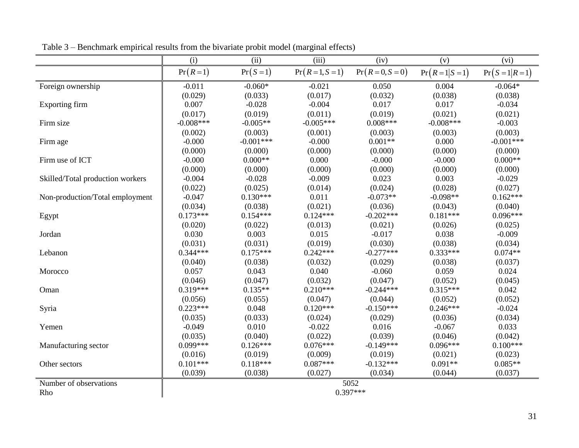|                                  | (i)         | (ii)        | (iii)              | (iv)               | (v)               | (vi)                |
|----------------------------------|-------------|-------------|--------------------|--------------------|-------------------|---------------------|
|                                  | $Pr(R=1)$   | $Pr(S=1)$   | $Pr(R = 1, S = 1)$ | $Pr(R = 0, S = 0)$ | $Pr(R = 1 S = 1)$ | $Pr(S = 1   R = 1)$ |
| Foreign ownership                | $-0.011$    | $-0.060*$   | $-0.021$           | 0.050              | 0.004             | $-0.064*$           |
|                                  | (0.029)     | (0.033)     | (0.017)            | (0.032)            | (0.038)           | (0.038)             |
| Exporting firm                   | 0.007       | $-0.028$    | $-0.004$           | 0.017              | 0.017             | $-0.034$            |
|                                  | (0.017)     | (0.019)     | (0.011)            | (0.019)            | (0.021)           | (0.021)             |
| Firm size                        | $-0.008***$ | $-0.005**$  | $-0.005***$        | $0.008***$         | $-0.008***$       | $-0.003$            |
|                                  | (0.002)     | (0.003)     | (0.001)            | (0.003)            | (0.003)           | (0.003)             |
| Firm age                         | $-0.000$    | $-0.001***$ | $-0.000$           | $0.001**$          | 0.000             | $-0.001***$         |
|                                  | (0.000)     | (0.000)     | (0.000)            | (0.000)            | (0.000)           | (0.000)             |
| Firm use of ICT                  | $-0.000$    | $0.000**$   | 0.000              | $-0.000$           | $-0.000$          | $0.000**$           |
|                                  | (0.000)     | (0.000)     | (0.000)            | (0.000)            | (0.000)           | (0.000)             |
| Skilled/Total production workers | $-0.004$    | $-0.028$    | $-0.009$           | 0.023              | 0.003             | $-0.029$            |
|                                  | (0.022)     | (0.025)     | (0.014)            | (0.024)            | (0.028)           | (0.027)             |
| Non-production/Total employment  | $-0.047$    | $0.130***$  | 0.011              | $-0.073**$         | $-0.098**$        | $0.162***$          |
|                                  | (0.034)     | (0.038)     | (0.021)            | (0.036)            | (0.043)           | (0.040)             |
| Egypt                            | $0.173***$  | $0.154***$  | $0.124***$         | $-0.202***$        | $0.181***$        | $0.096***$          |
|                                  | (0.020)     | (0.022)     | (0.013)            | (0.021)            | (0.026)           | (0.025)             |
| Jordan                           | 0.030       | 0.003       | 0.015              | $-0.017$           | 0.038             | $-0.009$            |
|                                  | (0.031)     | (0.031)     | (0.019)            | (0.030)            | (0.038)           | (0.034)             |
| Lebanon                          | $0.344***$  | $0.175***$  | $0.242***$         | $-0.277***$        | $0.333***$        | $0.074**$           |
|                                  | (0.040)     | (0.038)     | (0.032)            | (0.029)            | (0.038)           | (0.037)             |
| Morocco                          | 0.057       | 0.043       | 0.040              | $-0.060$           | 0.059             | 0.024               |
|                                  | (0.046)     | (0.047)     | (0.032)            | (0.047)            | (0.052)           | (0.045)             |
| Oman                             | $0.319***$  | $0.135**$   | $0.210***$         | $-0.244***$        | $0.315***$        | 0.042               |
|                                  | (0.056)     | (0.055)     | (0.047)            | (0.044)            | (0.052)           | (0.052)             |
| Syria                            | $0.223***$  | 0.048       | $0.120***$         | $-0.150***$        | $0.246***$        | $-0.024$            |
|                                  | (0.035)     | (0.033)     | (0.024)            | (0.029)            | (0.036)           | (0.034)             |
| Yemen                            | $-0.049$    | 0.010       | $-0.022$           | 0.016              | $-0.067$          | 0.033               |
|                                  | (0.035)     | (0.040)     | (0.022)            | (0.039)            | (0.046)           | (0.042)             |
| Manufacturing sector             | $0.099***$  | $0.126***$  | $0.076***$         | $-0.149***$        | $0.096***$        | $0.100***$          |
|                                  | (0.016)     | (0.019)     | (0.009)            | (0.019)            | (0.021)           | (0.023)             |
| Other sectors                    | $0.101***$  | $0.118***$  | $0.087***$         | $-0.132***$        | $0.091**$         | $0.085**$           |
|                                  | (0.039)     | (0.038)     | (0.027)            | (0.034)            | (0.044)           | (0.037)             |
| Number of observations           |             |             |                    | 5052               |                   |                     |
| Rho                              |             |             |                    | $0.397***$         |                   |                     |

Table 3 – Benchmark empirical results from the bivariate probit model (marginal effects)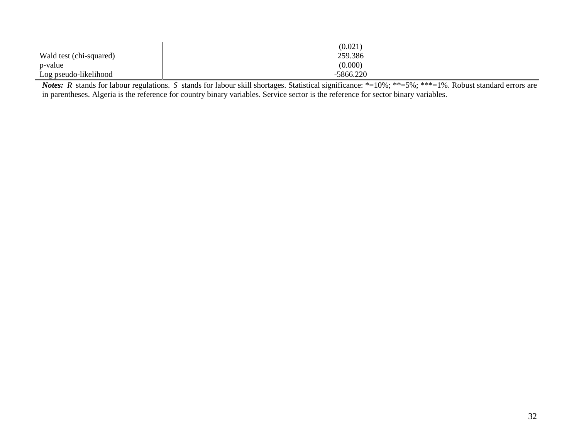|                         | (0.021)     |
|-------------------------|-------------|
| Wald test (chi-squared) | 259.386     |
| p-value                 | (0.000)     |
| Log pseudo-likelihood   | $-5866.220$ |

*Notes*: *R* stands for labour regulations. *S* stands for labour skill shortages. Statistical significance: \*=10%; \*\*=5%; \*\*\*=1%. Robust standard errors are in parentheses. Algeria is the reference for country binary variables. Service sector is the reference for sector binary variables.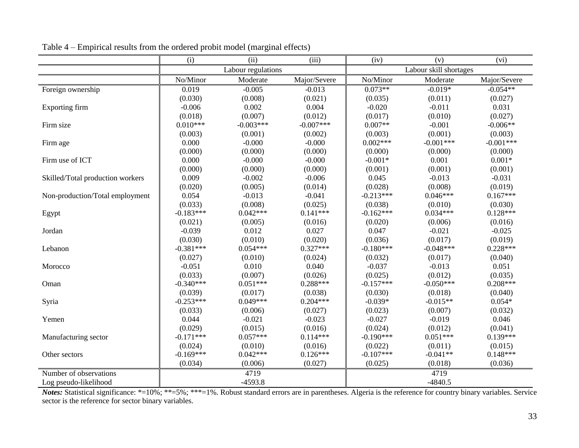|                                  | (i)         | (ii)               | (iii)        | (iv)        | (v)                    | (vi)         |
|----------------------------------|-------------|--------------------|--------------|-------------|------------------------|--------------|
|                                  |             | Labour regulations |              |             | Labour skill shortages |              |
|                                  | No/Minor    | Moderate           | Major/Severe | No/Minor    | Moderate               | Major/Severe |
| Foreign ownership                | 0.019       | $-0.005$           | $-0.013$     | $0.073**$   | $-0.019*$              | $-0.054**$   |
|                                  | (0.030)     | (0.008)            | (0.021)      | (0.035)     | (0.011)                | (0.027)      |
| Exporting firm                   | $-0.006$    | 0.002              | 0.004        | $-0.020$    | $-0.011$               | 0.031        |
|                                  | (0.018)     | (0.007)            | (0.012)      | (0.017)     | (0.010)                | (0.027)      |
| Firm size                        | $0.010***$  | $-0.003***$        | $-0.007***$  | $0.007**$   | $-0.001$               | $-0.006**$   |
|                                  | (0.003)     | (0.001)            | (0.002)      | (0.003)     | (0.001)                | (0.003)      |
| Firm age                         | 0.000       | $-0.000$           | $-0.000$     | $0.002***$  | $-0.001***$            | $-0.001***$  |
|                                  | (0.000)     | (0.000)            | (0.000)      | (0.000)     | (0.000)                | (0.000)      |
| Firm use of ICT                  | 0.000       | $-0.000$           | $-0.000$     | $-0.001*$   | 0.001                  | $0.001*$     |
|                                  | (0.000)     | (0.000)            | (0.000)      | (0.001)     | (0.001)                | (0.001)      |
| Skilled/Total production workers | 0.009       | $-0.002$           | $-0.006$     | 0.045       | $-0.013$               | $-0.031$     |
|                                  | (0.020)     | (0.005)            | (0.014)      | (0.028)     | (0.008)                | (0.019)      |
| Non-production/Total employment  | 0.054       | $-0.013$           | $-0.041$     | $-0.213***$ | $0.046***$             | $0.167***$   |
|                                  | (0.033)     | (0.008)            | (0.025)      | (0.038)     | (0.010)                | (0.030)      |
| Egypt                            | $-0.183***$ | $0.042***$         | $0.141***$   | $-0.162***$ | $0.034***$             | $0.128***$   |
|                                  | (0.021)     | (0.005)            | (0.016)      | (0.020)     | (0.006)                | (0.016)      |
| Jordan                           | $-0.039$    | 0.012              | 0.027        | 0.047       | $-0.021$               | $-0.025$     |
|                                  | (0.030)     | (0.010)            | (0.020)      | (0.036)     | (0.017)                | (0.019)      |
| Lebanon                          | $-0.381***$ | $0.054***$         | $0.327***$   | $-0.180***$ | $-0.048***$            | $0.228***$   |
|                                  | (0.027)     | (0.010)            | (0.024)      | (0.032)     | (0.017)                | (0.040)      |
| Morocco                          | $-0.051$    | 0.010              | 0.040        | $-0.037$    | $-0.013$               | 0.051        |
|                                  | (0.033)     | (0.007)            | (0.026)      | (0.025)     | (0.012)                | (0.035)      |
| Oman                             | $-0.340***$ | $0.051***$         | $0.288***$   | $-0.157***$ | $-0.050***$            | $0.208***$   |
|                                  | (0.039)     | (0.017)            | (0.038)      | (0.030)     | (0.018)                | (0.040)      |
| Syria                            | $-0.253***$ | $0.049***$         | $0.204***$   | $-0.039*$   | $-0.015**$             | $0.054*$     |
|                                  | (0.033)     | (0.006)            | (0.027)      | (0.023)     | (0.007)                | (0.032)      |
| Yemen                            | 0.044       | $-0.021$           | $-0.023$     | $-0.027$    | $-0.019$               | 0.046        |
|                                  | (0.029)     | (0.015)            | (0.016)      | (0.024)     | (0.012)                | (0.041)      |
| Manufacturing sector             | $-0.171***$ | $0.057***$         | $0.114***$   | $-0.190***$ | $0.051***$             | $0.139***$   |
|                                  | (0.024)     | (0.010)            | (0.016)      | (0.022)     | (0.011)                | (0.015)      |
| Other sectors                    | $-0.169***$ | $0.042***$         | $0.126***$   | $-0.107***$ | $-0.041**$             | $0.148***$   |
|                                  | (0.034)     | (0.006)            | (0.027)      | (0.025)     | (0.018)                | (0.036)      |
| Number of observations           |             | 4719               |              |             | 4719                   |              |
| Log pseudo-likelihood            |             | $-4593.8$          |              |             | $-4840.5$              |              |

Table 4 – Empirical results from the ordered probit model (marginal effects)

Notes: Statistical significance: \*=10%; \*\*=5%; \*\*\*=1%. Robust standard errors are in parentheses. Algeria is the reference for country binary variables. Service sector is the reference for sector binary variables.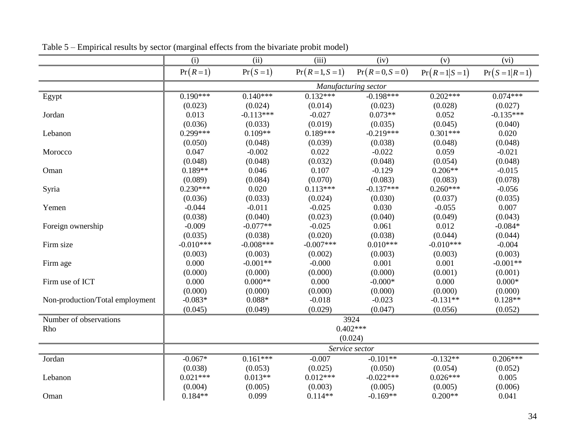|                                 | (i)         | (ii)        | (iii)              | (iv)                 | (v)               | (vi)                |
|---------------------------------|-------------|-------------|--------------------|----------------------|-------------------|---------------------|
|                                 | $Pr(R=1)$   | $Pr(S=1)$   | $Pr(R = 1, S = 1)$ | $Pr(R = 0, S = 0)$   | $Pr(R = 1 S = 1)$ | $Pr(S = 1   R = 1)$ |
|                                 |             |             |                    | Manufacturing sector |                   |                     |
| Egypt                           | $0.190***$  | $0.140***$  | $0.132***$         | $-0.198***$          | $0.202***$        | $0.074***$          |
|                                 | (0.023)     | (0.024)     | (0.014)            | (0.023)              | (0.028)           | (0.027)             |
| Jordan                          | 0.013       | $-0.113***$ | $-0.027$           | $0.073**$            | 0.052             | $-0.135***$         |
|                                 | (0.036)     | (0.033)     | (0.019)            | (0.035)              | (0.045)           | (0.040)             |
| Lebanon                         | $0.299***$  | $0.109**$   | $0.189***$         | $-0.219***$          | $0.301***$        | 0.020               |
|                                 | (0.050)     | (0.048)     | (0.039)            | (0.038)              | (0.048)           | (0.048)             |
| Morocco                         | 0.047       | $-0.002$    | 0.022              | $-0.022$             | 0.059             | $-0.021$            |
|                                 | (0.048)     | (0.048)     | (0.032)            | (0.048)              | (0.054)           | (0.048)             |
| Oman                            | $0.189**$   | 0.046       | 0.107              | $-0.129$             | $0.206**$         | $-0.015$            |
|                                 | (0.089)     | (0.084)     | (0.070)            | (0.083)              | (0.083)           | (0.078)             |
| Syria                           | $0.230***$  | 0.020       | $0.113***$         | $-0.137***$          | $0.260***$        | $-0.056$            |
|                                 | (0.036)     | (0.033)     | (0.024)            | (0.030)              | (0.037)           | (0.035)             |
| Yemen                           | $-0.044$    | $-0.011$    | $-0.025$           | 0.030                | $-0.055$          | 0.007               |
|                                 | (0.038)     | (0.040)     | (0.023)            | (0.040)              | (0.049)           | (0.043)             |
| Foreign ownership               | $-0.009$    | $-0.077**$  | $-0.025$           | 0.061                | 0.012             | $-0.084*$           |
|                                 | (0.035)     | (0.038)     | (0.020)            | (0.038)              | (0.044)           | (0.044)             |
| Firm size                       | $-0.010***$ | $-0.008***$ | $-0.007***$        | $0.010***$           | $-0.010***$       | $-0.004$            |
|                                 | (0.003)     | (0.003)     | (0.002)            | (0.003)              | (0.003)           | (0.003)             |
| Firm age                        | 0.000       | $-0.001**$  | $-0.000$           | 0.001                | 0.001             | $-0.001**$          |
|                                 | (0.000)     | (0.000)     | (0.000)            | (0.000)              | (0.001)           | (0.001)             |
| Firm use of ICT                 | 0.000       | $0.000**$   | 0.000              | $-0.000*$            | 0.000             | $0.000*$            |
|                                 | (0.000)     | (0.000)     | (0.000)            | (0.000)              | (0.000)           | (0.000)             |
| Non-production/Total employment | $-0.083*$   | $0.088*$    | $-0.018$           | $-0.023$             | $-0.131**$        | $0.128**$           |
|                                 | (0.045)     | (0.049)     | (0.029)            | (0.047)              | (0.056)           | (0.052)             |
| Number of observations          |             |             |                    | 3924                 |                   |                     |
| Rho                             |             |             |                    | $0.402***$           |                   |                     |
|                                 |             |             |                    | (0.024)              |                   |                     |
|                                 |             |             |                    | Service sector       |                   |                     |
| Jordan                          | $-0.067*$   | $0.161***$  | $-0.007$           | $-0.101**$           | $-0.132**$        | $0.206***$          |
|                                 | (0.038)     | (0.053)     | (0.025)            | (0.050)              | (0.054)           | (0.052)             |
| Lebanon                         | $0.021***$  | $0.013**$   | $0.012***$         | $-0.022***$          | $0.026***$        | 0.005               |
|                                 | (0.004)     | (0.005)     | (0.003)            | (0.005)              | (0.005)           | (0.006)             |
| Oman                            | $0.184**$   | 0.099       | $0.114**$          | $-0.169**$           | $0.200**$         | 0.041               |

Table 5 – Empirical results by sector (marginal effects from the bivariate probit model)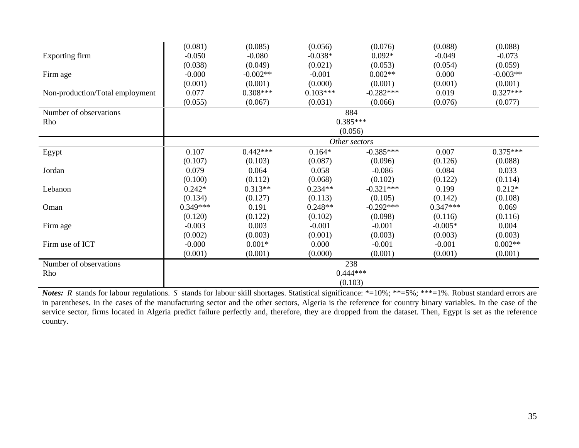|                                 | (0.081)    | (0.085)    | (0.056)    | (0.076)       | (0.088)    | (0.088)    |
|---------------------------------|------------|------------|------------|---------------|------------|------------|
| Exporting firm                  | $-0.050$   | $-0.080$   | $-0.038*$  | $0.092*$      | $-0.049$   | $-0.073$   |
|                                 | (0.038)    | (0.049)    | (0.021)    | (0.053)       | (0.054)    | (0.059)    |
| Firm age                        | $-0.000$   | $-0.002**$ | $-0.001$   | $0.002**$     | 0.000      | $-0.003**$ |
|                                 | (0.001)    | (0.001)    | (0.000)    | (0.001)       | (0.001)    | (0.001)    |
| Non-production/Total employment | 0.077      | $0.308***$ | $0.103***$ | $-0.282***$   | 0.019      | $0.327***$ |
|                                 | (0.055)    | (0.067)    | (0.031)    | (0.066)       | (0.076)    | (0.077)    |
| Number of observations          |            |            |            | 884           |            |            |
| Rho                             |            |            |            | $0.385***$    |            |            |
|                                 |            |            |            | (0.056)       |            |            |
|                                 |            |            |            | Other sectors |            |            |
| Egypt                           | 0.107      | $0.442***$ | $0.164*$   | $-0.385***$   | 0.007      | $0.375***$ |
|                                 | (0.107)    | (0.103)    | (0.087)    | (0.096)       | (0.126)    | (0.088)    |
| Jordan                          | 0.079      | 0.064      | 0.058      | $-0.086$      | 0.084      | 0.033      |
|                                 | (0.100)    | (0.112)    | (0.068)    | (0.102)       | (0.122)    | (0.114)    |
| Lebanon                         | $0.242*$   | $0.313**$  | $0.234**$  | $-0.321***$   | 0.199      | $0.212*$   |
|                                 | (0.134)    | (0.127)    | (0.113)    | (0.105)       | (0.142)    | (0.108)    |
| Oman                            | $0.349***$ | 0.191      | $0.248**$  | $-0.292***$   | $0.347***$ | 0.069      |
|                                 | (0.120)    | (0.122)    | (0.102)    | (0.098)       | (0.116)    | (0.116)    |
| Firm age                        | $-0.003$   | 0.003      | $-0.001$   | $-0.001$      | $-0.005*$  | 0.004      |
|                                 | (0.002)    | (0.003)    | (0.001)    | (0.003)       | (0.003)    | (0.003)    |
| Firm use of ICT                 | $-0.000$   | $0.001*$   | 0.000      | $-0.001$      | $-0.001$   | $0.002**$  |
|                                 | (0.001)    | (0.001)    | (0.000)    | (0.001)       | (0.001)    | (0.001)    |
| Number of observations          |            |            |            | 238           |            |            |
| Rho                             |            |            |            | $0.444***$    |            |            |
|                                 |            |            |            | (0.103)       |            |            |

*Notes*: *R* stands for labour regulations. *S* stands for labour skill shortages. Statistical significance: \*=10%; \*\*=5%; \*\*\*=1%. Robust standard errors are in parentheses. In the cases of the manufacturing sector and the other sectors, Algeria is the reference for country binary variables. In the case of the service sector, firms located in Algeria predict failure perfectly and, therefore, they are dropped from the dataset. Then, Egypt is set as the reference country.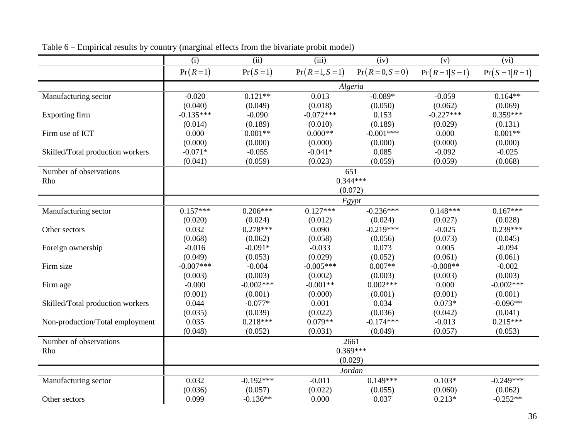|                                  | (i)         | (ii)        | (iii)              | (iv)               | (v)               | (vi)                |  |
|----------------------------------|-------------|-------------|--------------------|--------------------|-------------------|---------------------|--|
|                                  | $Pr(R=1)$   | $Pr(S=1)$   | $Pr(R = 1, S = 1)$ | $Pr(R = 0, S = 0)$ | $Pr(R = 1 S = 1)$ | $Pr(S = 1   R = 1)$ |  |
|                                  | Algeria     |             |                    |                    |                   |                     |  |
| Manufacturing sector             | $-0.020$    | $0.121**$   | 0.013              | $-0.089*$          | $-0.059$          | $0.164**$           |  |
|                                  | (0.040)     | (0.049)     | (0.018)            | (0.050)            | (0.062)           | (0.069)             |  |
| Exporting firm                   | $-0.135***$ | $-0.090$    | $-0.072***$        | 0.153              | $-0.227***$       | $0.359***$          |  |
|                                  | (0.014)     | (0.189)     | (0.010)            | (0.189)            | (0.029)           | (0.131)             |  |
| Firm use of ICT                  | 0.000       | $0.001**$   | $0.000**$          | $-0.001***$        | 0.000             | $0.001**$           |  |
|                                  | (0.000)     | (0.000)     | (0.000)            | (0.000)            | (0.000)           | (0.000)             |  |
| Skilled/Total production workers | $-0.071*$   | $-0.055$    | $-0.041*$          | 0.085              | $-0.092$          | $-0.025$            |  |
|                                  | (0.041)     | (0.059)     | (0.023)            | (0.059)            | (0.059)           | (0.068)             |  |
| Number of observations           |             |             |                    | 651                |                   |                     |  |
| Rho                              |             |             |                    | $0.344***$         |                   |                     |  |
|                                  |             |             |                    | (0.072)            |                   |                     |  |
|                                  |             |             |                    | Egypt              |                   |                     |  |
| Manufacturing sector             | $0.157***$  | $0.206***$  | $0.127***$         | $-0.236***$        | $0.148***$        | $0.167***$          |  |
|                                  | (0.020)     | (0.024)     | (0.012)            | (0.024)            | (0.027)           | (0.028)             |  |
| Other sectors                    | 0.032       | $0.278***$  | 0.090              | $-0.219***$        | $-0.025$          | $0.239***$          |  |
|                                  | (0.068)     | (0.062)     | (0.058)            | (0.056)            | (0.073)           | (0.045)             |  |
| Foreign ownership                | $-0.016$    | $-0.091*$   | $-0.033$           | 0.073              | 0.005             | $-0.094$            |  |
|                                  | (0.049)     | (0.053)     | (0.029)            | (0.052)            | (0.061)           | (0.061)             |  |
| Firm size                        | $-0.007***$ | $-0.004$    | $-0.005***$        | $0.007**$          | $-0.008**$        | $-0.002$            |  |
|                                  | (0.003)     | (0.003)     | (0.002)            | (0.003)            | (0.003)           | (0.003)             |  |
| Firm age                         | $-0.000$    | $-0.002***$ | $-0.001**$         | $0.002***$         | 0.000             | $-0.002***$         |  |
|                                  | (0.001)     | (0.001)     | (0.000)            | (0.001)            | (0.001)           | (0.001)             |  |
| Skilled/Total production workers | 0.044       | $-0.077*$   | 0.001              | 0.034              | $0.073*$          | $-0.096**$          |  |
|                                  | (0.035)     | (0.039)     | (0.022)            | (0.036)            | (0.042)           | (0.041)             |  |
| Non-production/Total employment  | 0.035       | $0.218***$  | $0.079**$          | $-0.174***$        | $-0.013$          | $0.215***$          |  |
|                                  | (0.048)     | (0.052)     | (0.031)            | (0.049)            | (0.057)           | (0.053)             |  |
| Number of observations           |             |             |                    | 2661               |                   |                     |  |
| Rho                              |             |             |                    | $0.369***$         |                   |                     |  |
|                                  |             |             |                    | (0.029)            |                   |                     |  |
|                                  |             |             |                    | <b>Jordan</b>      |                   |                     |  |
| Manufacturing sector             | 0.032       | $-0.192***$ | $-0.011$           | $0.149***$         | $0.103*$          | $-0.249***$         |  |
|                                  | (0.036)     | (0.057)     | (0.022)            | (0.055)            | (0.060)           | (0.062)             |  |
| Other sectors                    | 0.099       | $-0.136**$  | 0.000              | 0.037              | $0.213*$          | $-0.252**$          |  |

Table 6 – Empirical results by country (marginal effects from the bivariate probit model)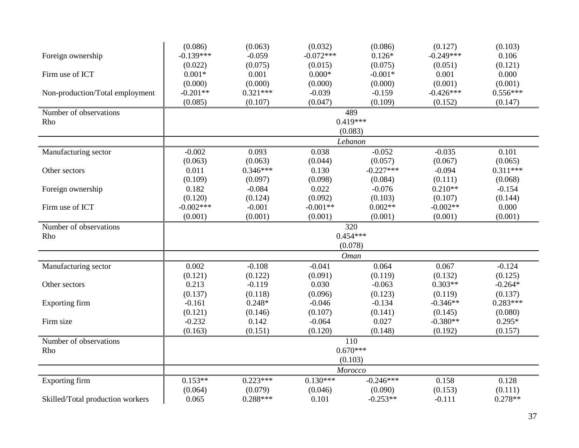|                                  | (0.086)     | (0.063)    | (0.032)     | (0.086)     | (0.127)     | (0.103)    |
|----------------------------------|-------------|------------|-------------|-------------|-------------|------------|
| Foreign ownership                | $-0.139***$ | $-0.059$   | $-0.072***$ | $0.126*$    | $-0.249***$ | 0.106      |
|                                  | (0.022)     | (0.075)    | (0.015)     | (0.075)     | (0.051)     | (0.121)    |
| Firm use of ICT                  | $0.001*$    | 0.001      | $0.000*$    | $-0.001*$   | 0.001       | 0.000      |
|                                  | (0.000)     | (0.000)    | (0.000)     | (0.000)     | (0.001)     | (0.001)    |
| Non-production/Total employment  | $-0.201**$  | $0.321***$ | $-0.039$    | $-0.159$    | $-0.426***$ | $0.556***$ |
|                                  | (0.085)     | (0.107)    | (0.047)     | (0.109)     | (0.152)     | (0.147)    |
| Number of observations           |             |            |             | 489         |             |            |
| Rho                              |             |            |             | $0.419***$  |             |            |
|                                  |             |            |             | (0.083)     |             |            |
|                                  |             |            |             | Lebanon     |             |            |
| Manufacturing sector             | $-0.002$    | 0.093      | 0.038       | $-0.052$    | $-0.035$    | 0.101      |
|                                  | (0.063)     | (0.063)    | (0.044)     | (0.057)     | (0.067)     | (0.065)    |
| Other sectors                    | 0.011       | $0.346***$ | 0.130       | $-0.227***$ | $-0.094$    | $0.311***$ |
|                                  | (0.109)     | (0.097)    | (0.098)     | (0.084)     | (0.111)     | (0.068)    |
| Foreign ownership                | 0.182       | $-0.084$   | 0.022       | $-0.076$    | $0.210**$   | $-0.154$   |
|                                  | (0.120)     | (0.124)    | (0.092)     | (0.103)     | (0.107)     | (0.144)    |
| Firm use of ICT                  | $-0.002***$ | $-0.001$   | $-0.001**$  | $0.002**$   | $-0.002**$  | 0.000      |
|                                  | (0.001)     | (0.001)    | (0.001)     | (0.001)     | (0.001)     | (0.001)    |
| Number of observations           |             |            |             | 320         |             |            |
| Rho                              |             |            |             | $0.454***$  |             |            |
|                                  |             |            |             | (0.078)     |             |            |
|                                  |             |            |             | Oman        |             |            |
| Manufacturing sector             | 0.002       | $-0.108$   | $-0.041$    | 0.064       | 0.067       | $-0.124$   |
|                                  | (0.121)     | (0.122)    | (0.091)     | (0.119)     | (0.132)     | (0.125)    |
| Other sectors                    | 0.213       | $-0.119$   | 0.030       | $-0.063$    | $0.303**$   | $-0.264*$  |
|                                  | (0.137)     | (0.118)    | (0.096)     | (0.123)     | (0.119)     | (0.137)    |
| Exporting firm                   | $-0.161$    | $0.248*$   | $-0.046$    | $-0.134$    | $-0.346**$  | $0.283***$ |
|                                  | (0.121)     | (0.146)    | (0.107)     | (0.141)     | (0.145)     | (0.080)    |
| Firm size                        | $-0.232$    | 0.142      | $-0.064$    | 0.027       | $-0.380**$  | $0.295*$   |
|                                  | (0.163)     | (0.151)    | (0.120)     | (0.148)     | (0.192)     | (0.157)    |
| Number of observations           |             |            |             | 110         |             |            |
| Rho                              |             |            |             | $0.670***$  |             |            |
|                                  |             |            |             | (0.103)     |             |            |
|                                  |             |            |             | Morocco     |             |            |
| Exporting firm                   | $0.153**$   | $0.223***$ | $0.130***$  | $-0.246***$ | 0.158       | 0.128      |
|                                  | (0.064)     | (0.079)    | (0.046)     | (0.090)     | (0.153)     | (0.111)    |
| Skilled/Total production workers | 0.065       | $0.288***$ | 0.101       | $-0.253**$  | $-0.111$    | $0.278**$  |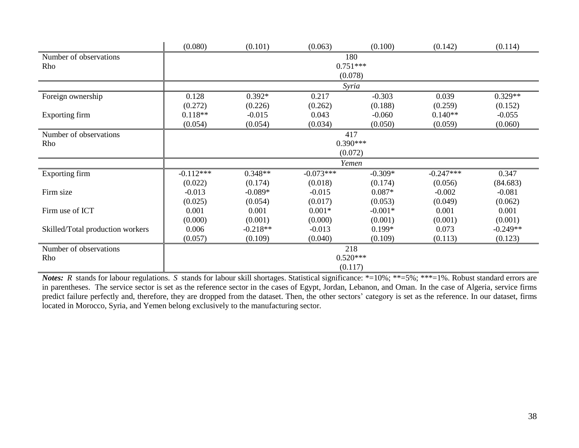|                                  | (0.080)     | (0.101)    | (0.063)     | (0.100)   | (0.142)     | (0.114)    |  |  |
|----------------------------------|-------------|------------|-------------|-----------|-------------|------------|--|--|
| Number of observations           |             | 180        |             |           |             |            |  |  |
| Rho                              |             |            | $0.751***$  |           |             |            |  |  |
|                                  |             |            | (0.078)     |           |             |            |  |  |
|                                  |             |            | Syria       |           |             |            |  |  |
| Foreign ownership                | 0.128       | $0.392*$   | 0.217       | $-0.303$  | 0.039       | $0.329**$  |  |  |
|                                  | (0.272)     | (0.226)    | (0.262)     | (0.188)   | (0.259)     | (0.152)    |  |  |
| Exporting firm                   | $0.118**$   | $-0.015$   | 0.043       | $-0.060$  | $0.140**$   | $-0.055$   |  |  |
|                                  | (0.054)     | (0.054)    | (0.034)     | (0.050)   | (0.059)     | (0.060)    |  |  |
| Number of observations           |             |            | 417         |           |             |            |  |  |
| Rho                              |             |            | $0.390***$  |           |             |            |  |  |
|                                  |             |            | (0.072)     |           |             |            |  |  |
|                                  |             |            | Yemen       |           |             |            |  |  |
| <b>Exporting firm</b>            | $-0.112***$ | $0.348**$  | $-0.073***$ | $-0.309*$ | $-0.247***$ | 0.347      |  |  |
|                                  | (0.022)     | (0.174)    | (0.018)     | (0.174)   | (0.056)     | (84.683)   |  |  |
| Firm size                        | $-0.013$    | $-0.089*$  | $-0.015$    | $0.087*$  | $-0.002$    | $-0.081$   |  |  |
|                                  | (0.025)     | (0.054)    | (0.017)     | (0.053)   | (0.049)     | (0.062)    |  |  |
| Firm use of ICT                  | 0.001       | 0.001      | $0.001*$    | $-0.001*$ | 0.001       | 0.001      |  |  |
|                                  | (0.000)     | (0.001)    | (0.000)     | (0.001)   | (0.001)     | (0.001)    |  |  |
| Skilled/Total production workers | 0.006       | $-0.218**$ | $-0.013$    | $0.199*$  | 0.073       | $-0.249**$ |  |  |
|                                  | (0.057)     | (0.109)    | (0.040)     | (0.109)   | (0.113)     | (0.123)    |  |  |
| Number of observations           |             |            | 218         |           |             |            |  |  |
| Rho                              |             |            | $0.520***$  |           |             |            |  |  |
|                                  |             |            | (0.117)     |           |             |            |  |  |

*Notes*: *R* stands for labour regulations. *S* stands for labour skill shortages. Statistical significance: \*=10%; \*\*=5%; \*\*\*=1%. Robust standard errors are in parentheses. The service sector is set as the reference sector in the cases of Egypt, Jordan, Lebanon, and Oman. In the case of Algeria, service firms predict failure perfectly and, therefore, they are dropped from the dataset. Then, the other sectors' category is set as the reference. In our dataset, firms located in Morocco, Syria, and Yemen belong exclusively to the manufacturing sector.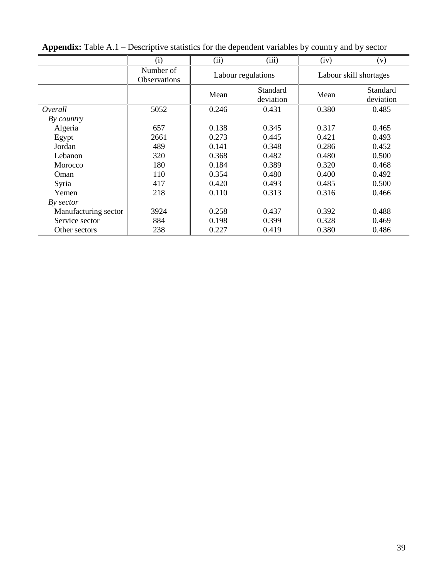|                      | (i)                              | (ii)  | (iii)                 | (iv)  | (v)                    |
|----------------------|----------------------------------|-------|-----------------------|-------|------------------------|
|                      | Number of<br><b>Observations</b> |       | Labour regulations    |       | Labour skill shortages |
|                      |                                  | Mean  | Standard<br>deviation | Mean  | Standard<br>deviation  |
| Overall              | 5052                             | 0.246 | 0.431                 | 0.380 | 0.485                  |
| By country           |                                  |       |                       |       |                        |
| Algeria              | 657                              | 0.138 | 0.345                 | 0.317 | 0.465                  |
| Egypt                | 2661                             | 0.273 | 0.445                 | 0.421 | 0.493                  |
| Jordan               | 489                              | 0.141 | 0.348                 | 0.286 | 0.452                  |
| Lebanon              | 320                              | 0.368 | 0.482                 | 0.480 | 0.500                  |
| Morocco              | 180                              | 0.184 | 0.389                 | 0.320 | 0.468                  |
| Oman                 | 110                              | 0.354 | 0.480                 | 0.400 | 0.492                  |
| Syria                | 417                              | 0.420 | 0.493                 | 0.485 | 0.500                  |
| Yemen                | 218                              | 0.110 | 0.313                 | 0.316 | 0.466                  |
| By sector            |                                  |       |                       |       |                        |
| Manufacturing sector | 3924                             | 0.258 | 0.437                 | 0.392 | 0.488                  |
| Service sector       | 884                              | 0.198 | 0.399                 | 0.328 | 0.469                  |
| Other sectors        | 238                              | 0.227 | 0.419                 | 0.380 | 0.486                  |

**Appendix:** Table A.1 – Descriptive statistics for the dependent variables by country and by sector